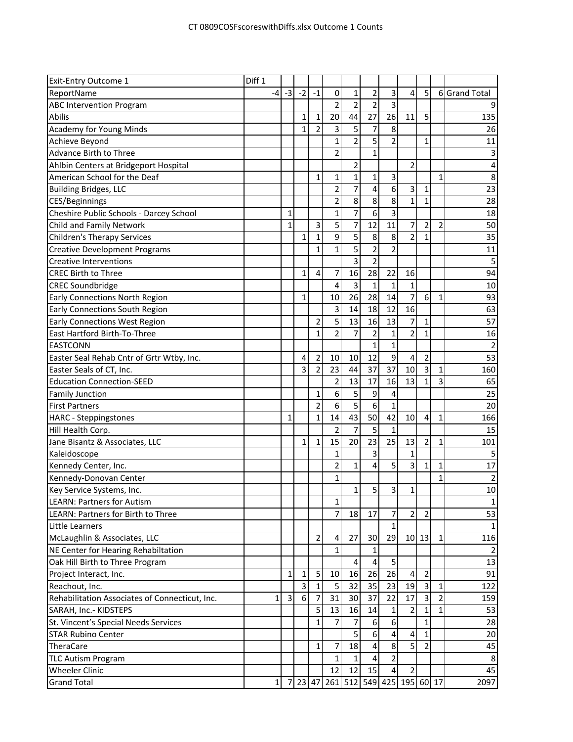| $-3$<br>3<br>5<br>$-4$<br>$-2$<br>$-1$<br>0<br>1<br>2<br>4<br>6 Grand Total<br>$\overline{2}$<br>$\overline{2}$<br>2<br>3<br>20<br>44<br>27<br>26<br>11<br>$\mathbf{1}$<br>1<br>5<br>135<br>5<br>$\overline{7}$<br>8<br>2<br>3<br>26<br>1<br>$\overline{2}$<br>5<br>$\overline{2}$<br>$\mathbf{1}$<br>$\mathbf{1}$<br>11<br>2<br>$\mathbf{1}$<br>2<br>2<br>4<br>1<br>8<br>$\mathbf{1}$<br>$\mathbf 1$<br>3<br>1<br>1<br>7<br>6<br>23<br>2<br>4<br>3<br>1<br>$\overline{\mathbf{c}}$<br>8<br>8<br>8<br>$\mathbf{1}$<br>28<br>1<br>$\overline{7}$<br>6<br>Cheshire Public Schools - Darcey School<br>3<br>18<br>1<br>1<br>5<br>7<br>3<br>7<br>$\mathbf{1}$<br>12<br>11<br>$\overline{2}$<br>$\overline{2}$<br>50<br>5<br>9<br>8<br>8<br>$\overline{2}$<br>35<br>$\mathbf{1}$<br>$\mathbf{1}$<br>$\mathbf{1}$<br>5<br>$\overline{2}$<br>$\overline{2}$<br>11<br>$\mathbf{1}$<br>$\mathbf{1}$<br>3<br>$\overline{2}$<br>16<br>94<br>28<br>22<br>$\mathbf{1}$<br>7<br>4<br>16<br>3<br>$\mathbf{1}$<br><b>CREC Soundbridge</b><br>4<br>1<br>$\mathbf{1}$<br>10<br>7<br>26<br>28<br>14<br>93<br>6<br>$\mathbf{1}$<br>Early Connections North Region<br>$\mathbf{1}$<br>10<br>63<br>Early Connections South Region<br>3<br>14<br>18<br>12<br>16<br>5<br>7<br>57<br>2<br>13<br>13<br>Early Connections West Region<br>16<br>$\mathbf{1}$<br>2<br>7<br>$\overline{2}$<br>$\overline{2}$<br>$\mathbf{1}$<br>1<br>16<br>1<br>1<br>1<br>9<br>53<br>12<br>$\overline{2}$<br>10<br>4<br>10<br>4<br>2<br>Easter Seal Rehab Cntr of Grtr Wtby, Inc.<br>37<br>3<br>23<br>37<br>10<br>3<br>$\mathbf 1$<br>160<br>Easter Seals of CT, Inc.<br>2<br>44<br>3<br><b>Education Connection-SEED</b><br>2<br>13<br>17<br>16<br>13<br>65<br>$\mathbf{1}$<br>6<br>5<br>9<br>25<br>$\mathbf{1}$<br>4<br><b>Family Junction</b><br>$\overline{5}$<br>6<br>6<br>$\overline{2}$<br>20<br>$\mathbf{1}$<br>43<br>42<br>$\mathbf{1}$<br>14<br>50<br>10<br>$\mathbf{1}$<br>166<br>1<br>4<br><b>HARC</b> - Steppingstones<br>$\overline{7}$<br>5<br>Hill Health Corp.<br>2<br>$\mathbf{1}$<br>15<br>25<br>20<br>23<br>13<br>101<br>Jane Bisantz & Associates, LLC<br>15<br>2<br>1<br>1<br>1<br>3<br>Kaleidoscope<br>$\mathbf{1}$<br>1<br>$\overline{\mathbf{c}}$<br>4<br>5<br>3<br>1<br>$\mathbf{1}$<br>17<br>Kennedy Center, Inc.<br>$\mathbf{1}$<br>Kennedy-Donovan Center<br>$\mathbf{1}$<br>1<br>$\overline{2}$<br>5<br>3<br>$\mathbf 1$<br>10<br>Key Service Systems, Inc.<br>$\mathbf{1}$<br>1<br>$\mathbf{1}$<br>53<br>7<br>$\overline{7}$<br>18<br>17<br>$\overline{\mathbf{c}}$<br>$\overline{2}$<br>$\mathbf{1}$<br>$10$   13<br>27<br>30<br>29<br>116<br>2<br>$\mathbf{1}$<br>4<br>NE Center for Hearing Rehabiltation<br>$\mathbf{1}$<br>1<br>Oak Hill Birth to Three Program<br>5<br>13<br>4<br>4<br>26<br>5<br>16<br>26<br>91<br>$\mathbf{1}$<br>$\mathbf 1$<br>4<br>$\overline{2}$<br>Project Interact, Inc.<br>10<br>32<br>Reachout, Inc.<br>3<br>5<br>35<br>23<br>19<br>$\overline{3}$<br>$\mathbf{1}$<br>122<br>$\mathbf{1}$<br>$\overline{2}$<br>31<br>$\overline{3}$<br>6<br>30<br>Rehabilitation Associates of Connecticut, Inc.<br>37<br>22<br>159<br>1<br>17<br>3<br>7<br>53<br>SARAH, Inc.- KIDSTEPS<br>13<br>16<br>2<br>1<br>5<br>14<br>1<br>1<br>28<br>St. Vincent's Special Needs Services<br>7<br>6<br>6<br>1<br>7<br>$\mathbf{1}$<br>5<br>$6\phantom{a}$<br>20<br>4<br>4<br>$\mathbf{1}$<br>5<br>7<br>18<br>$\overline{4}$<br>8<br>45<br>2<br>1<br>$\overline{2}$<br>4<br>$\mathbf{1}$<br><b>TLC Autism Program</b><br>8<br>45<br><b>Wheeler Clinic</b><br>12<br>15<br>2<br>12<br>4<br>261 512 549<br>7 23 47<br>425 195 60 17<br>2097<br><b>Grand Total</b><br>$\mathbf{1}$ | <b>Exit-Entry Outcome 1</b>           | Diff 1 |  |  |  |  |  |  |
|----------------------------------------------------------------------------------------------------------------------------------------------------------------------------------------------------------------------------------------------------------------------------------------------------------------------------------------------------------------------------------------------------------------------------------------------------------------------------------------------------------------------------------------------------------------------------------------------------------------------------------------------------------------------------------------------------------------------------------------------------------------------------------------------------------------------------------------------------------------------------------------------------------------------------------------------------------------------------------------------------------------------------------------------------------------------------------------------------------------------------------------------------------------------------------------------------------------------------------------------------------------------------------------------------------------------------------------------------------------------------------------------------------------------------------------------------------------------------------------------------------------------------------------------------------------------------------------------------------------------------------------------------------------------------------------------------------------------------------------------------------------------------------------------------------------------------------------------------------------------------------------------------------------------------------------------------------------------------------------------------------------------------------------------------------------------------------------------------------------------------------------------------------------------------------------------------------------------------------------------------------------------------------------------------------------------------------------------------------------------------------------------------------------------------------------------------------------------------------------------------------------------------------------------------------------------------------------------------------------------------------------------------------------------------------------------------------------------------------------------------------------------------------------------------------------------------------------------------------------------------------------------------------------------------------------------------------------------------------------------------------------------------------------------------------------------------------------------------------------------------------------------------------------------------------------------------------------------------------------------------------------------------------------------------------------------------------------------------------------------------------------------------------------------------------------------------------------------------------------------------------------------------------------------------------------------------------------------------------------------------------------------------------------------|---------------------------------------|--------|--|--|--|--|--|--|
|                                                                                                                                                                                                                                                                                                                                                                                                                                                                                                                                                                                                                                                                                                                                                                                                                                                                                                                                                                                                                                                                                                                                                                                                                                                                                                                                                                                                                                                                                                                                                                                                                                                                                                                                                                                                                                                                                                                                                                                                                                                                                                                                                                                                                                                                                                                                                                                                                                                                                                                                                                                                                                                                                                                                                                                                                                                                                                                                                                                                                                                                                                                                                                                                                                                                                                                                                                                                                                                                                                                                                                                                                                                                      | ReportName                            |        |  |  |  |  |  |  |
|                                                                                                                                                                                                                                                                                                                                                                                                                                                                                                                                                                                                                                                                                                                                                                                                                                                                                                                                                                                                                                                                                                                                                                                                                                                                                                                                                                                                                                                                                                                                                                                                                                                                                                                                                                                                                                                                                                                                                                                                                                                                                                                                                                                                                                                                                                                                                                                                                                                                                                                                                                                                                                                                                                                                                                                                                                                                                                                                                                                                                                                                                                                                                                                                                                                                                                                                                                                                                                                                                                                                                                                                                                                                      | <b>ABC Intervention Program</b>       |        |  |  |  |  |  |  |
|                                                                                                                                                                                                                                                                                                                                                                                                                                                                                                                                                                                                                                                                                                                                                                                                                                                                                                                                                                                                                                                                                                                                                                                                                                                                                                                                                                                                                                                                                                                                                                                                                                                                                                                                                                                                                                                                                                                                                                                                                                                                                                                                                                                                                                                                                                                                                                                                                                                                                                                                                                                                                                                                                                                                                                                                                                                                                                                                                                                                                                                                                                                                                                                                                                                                                                                                                                                                                                                                                                                                                                                                                                                                      | Abilis                                |        |  |  |  |  |  |  |
|                                                                                                                                                                                                                                                                                                                                                                                                                                                                                                                                                                                                                                                                                                                                                                                                                                                                                                                                                                                                                                                                                                                                                                                                                                                                                                                                                                                                                                                                                                                                                                                                                                                                                                                                                                                                                                                                                                                                                                                                                                                                                                                                                                                                                                                                                                                                                                                                                                                                                                                                                                                                                                                                                                                                                                                                                                                                                                                                                                                                                                                                                                                                                                                                                                                                                                                                                                                                                                                                                                                                                                                                                                                                      | <b>Academy for Young Minds</b>        |        |  |  |  |  |  |  |
|                                                                                                                                                                                                                                                                                                                                                                                                                                                                                                                                                                                                                                                                                                                                                                                                                                                                                                                                                                                                                                                                                                                                                                                                                                                                                                                                                                                                                                                                                                                                                                                                                                                                                                                                                                                                                                                                                                                                                                                                                                                                                                                                                                                                                                                                                                                                                                                                                                                                                                                                                                                                                                                                                                                                                                                                                                                                                                                                                                                                                                                                                                                                                                                                                                                                                                                                                                                                                                                                                                                                                                                                                                                                      | Achieve Beyond                        |        |  |  |  |  |  |  |
|                                                                                                                                                                                                                                                                                                                                                                                                                                                                                                                                                                                                                                                                                                                                                                                                                                                                                                                                                                                                                                                                                                                                                                                                                                                                                                                                                                                                                                                                                                                                                                                                                                                                                                                                                                                                                                                                                                                                                                                                                                                                                                                                                                                                                                                                                                                                                                                                                                                                                                                                                                                                                                                                                                                                                                                                                                                                                                                                                                                                                                                                                                                                                                                                                                                                                                                                                                                                                                                                                                                                                                                                                                                                      | <b>Advance Birth to Three</b>         |        |  |  |  |  |  |  |
|                                                                                                                                                                                                                                                                                                                                                                                                                                                                                                                                                                                                                                                                                                                                                                                                                                                                                                                                                                                                                                                                                                                                                                                                                                                                                                                                                                                                                                                                                                                                                                                                                                                                                                                                                                                                                                                                                                                                                                                                                                                                                                                                                                                                                                                                                                                                                                                                                                                                                                                                                                                                                                                                                                                                                                                                                                                                                                                                                                                                                                                                                                                                                                                                                                                                                                                                                                                                                                                                                                                                                                                                                                                                      | Ahlbin Centers at Bridgeport Hospital |        |  |  |  |  |  |  |
|                                                                                                                                                                                                                                                                                                                                                                                                                                                                                                                                                                                                                                                                                                                                                                                                                                                                                                                                                                                                                                                                                                                                                                                                                                                                                                                                                                                                                                                                                                                                                                                                                                                                                                                                                                                                                                                                                                                                                                                                                                                                                                                                                                                                                                                                                                                                                                                                                                                                                                                                                                                                                                                                                                                                                                                                                                                                                                                                                                                                                                                                                                                                                                                                                                                                                                                                                                                                                                                                                                                                                                                                                                                                      | American School for the Deaf          |        |  |  |  |  |  |  |
|                                                                                                                                                                                                                                                                                                                                                                                                                                                                                                                                                                                                                                                                                                                                                                                                                                                                                                                                                                                                                                                                                                                                                                                                                                                                                                                                                                                                                                                                                                                                                                                                                                                                                                                                                                                                                                                                                                                                                                                                                                                                                                                                                                                                                                                                                                                                                                                                                                                                                                                                                                                                                                                                                                                                                                                                                                                                                                                                                                                                                                                                                                                                                                                                                                                                                                                                                                                                                                                                                                                                                                                                                                                                      | <b>Building Bridges, LLC</b>          |        |  |  |  |  |  |  |
|                                                                                                                                                                                                                                                                                                                                                                                                                                                                                                                                                                                                                                                                                                                                                                                                                                                                                                                                                                                                                                                                                                                                                                                                                                                                                                                                                                                                                                                                                                                                                                                                                                                                                                                                                                                                                                                                                                                                                                                                                                                                                                                                                                                                                                                                                                                                                                                                                                                                                                                                                                                                                                                                                                                                                                                                                                                                                                                                                                                                                                                                                                                                                                                                                                                                                                                                                                                                                                                                                                                                                                                                                                                                      | CES/Beginnings                        |        |  |  |  |  |  |  |
|                                                                                                                                                                                                                                                                                                                                                                                                                                                                                                                                                                                                                                                                                                                                                                                                                                                                                                                                                                                                                                                                                                                                                                                                                                                                                                                                                                                                                                                                                                                                                                                                                                                                                                                                                                                                                                                                                                                                                                                                                                                                                                                                                                                                                                                                                                                                                                                                                                                                                                                                                                                                                                                                                                                                                                                                                                                                                                                                                                                                                                                                                                                                                                                                                                                                                                                                                                                                                                                                                                                                                                                                                                                                      |                                       |        |  |  |  |  |  |  |
|                                                                                                                                                                                                                                                                                                                                                                                                                                                                                                                                                                                                                                                                                                                                                                                                                                                                                                                                                                                                                                                                                                                                                                                                                                                                                                                                                                                                                                                                                                                                                                                                                                                                                                                                                                                                                                                                                                                                                                                                                                                                                                                                                                                                                                                                                                                                                                                                                                                                                                                                                                                                                                                                                                                                                                                                                                                                                                                                                                                                                                                                                                                                                                                                                                                                                                                                                                                                                                                                                                                                                                                                                                                                      | Child and Family Network              |        |  |  |  |  |  |  |
|                                                                                                                                                                                                                                                                                                                                                                                                                                                                                                                                                                                                                                                                                                                                                                                                                                                                                                                                                                                                                                                                                                                                                                                                                                                                                                                                                                                                                                                                                                                                                                                                                                                                                                                                                                                                                                                                                                                                                                                                                                                                                                                                                                                                                                                                                                                                                                                                                                                                                                                                                                                                                                                                                                                                                                                                                                                                                                                                                                                                                                                                                                                                                                                                                                                                                                                                                                                                                                                                                                                                                                                                                                                                      | <b>Children's Therapy Services</b>    |        |  |  |  |  |  |  |
|                                                                                                                                                                                                                                                                                                                                                                                                                                                                                                                                                                                                                                                                                                                                                                                                                                                                                                                                                                                                                                                                                                                                                                                                                                                                                                                                                                                                                                                                                                                                                                                                                                                                                                                                                                                                                                                                                                                                                                                                                                                                                                                                                                                                                                                                                                                                                                                                                                                                                                                                                                                                                                                                                                                                                                                                                                                                                                                                                                                                                                                                                                                                                                                                                                                                                                                                                                                                                                                                                                                                                                                                                                                                      | <b>Creative Development Programs</b>  |        |  |  |  |  |  |  |
|                                                                                                                                                                                                                                                                                                                                                                                                                                                                                                                                                                                                                                                                                                                                                                                                                                                                                                                                                                                                                                                                                                                                                                                                                                                                                                                                                                                                                                                                                                                                                                                                                                                                                                                                                                                                                                                                                                                                                                                                                                                                                                                                                                                                                                                                                                                                                                                                                                                                                                                                                                                                                                                                                                                                                                                                                                                                                                                                                                                                                                                                                                                                                                                                                                                                                                                                                                                                                                                                                                                                                                                                                                                                      | <b>Creative Interventions</b>         |        |  |  |  |  |  |  |
|                                                                                                                                                                                                                                                                                                                                                                                                                                                                                                                                                                                                                                                                                                                                                                                                                                                                                                                                                                                                                                                                                                                                                                                                                                                                                                                                                                                                                                                                                                                                                                                                                                                                                                                                                                                                                                                                                                                                                                                                                                                                                                                                                                                                                                                                                                                                                                                                                                                                                                                                                                                                                                                                                                                                                                                                                                                                                                                                                                                                                                                                                                                                                                                                                                                                                                                                                                                                                                                                                                                                                                                                                                                                      | <b>CREC Birth to Three</b>            |        |  |  |  |  |  |  |
|                                                                                                                                                                                                                                                                                                                                                                                                                                                                                                                                                                                                                                                                                                                                                                                                                                                                                                                                                                                                                                                                                                                                                                                                                                                                                                                                                                                                                                                                                                                                                                                                                                                                                                                                                                                                                                                                                                                                                                                                                                                                                                                                                                                                                                                                                                                                                                                                                                                                                                                                                                                                                                                                                                                                                                                                                                                                                                                                                                                                                                                                                                                                                                                                                                                                                                                                                                                                                                                                                                                                                                                                                                                                      |                                       |        |  |  |  |  |  |  |
|                                                                                                                                                                                                                                                                                                                                                                                                                                                                                                                                                                                                                                                                                                                                                                                                                                                                                                                                                                                                                                                                                                                                                                                                                                                                                                                                                                                                                                                                                                                                                                                                                                                                                                                                                                                                                                                                                                                                                                                                                                                                                                                                                                                                                                                                                                                                                                                                                                                                                                                                                                                                                                                                                                                                                                                                                                                                                                                                                                                                                                                                                                                                                                                                                                                                                                                                                                                                                                                                                                                                                                                                                                                                      |                                       |        |  |  |  |  |  |  |
|                                                                                                                                                                                                                                                                                                                                                                                                                                                                                                                                                                                                                                                                                                                                                                                                                                                                                                                                                                                                                                                                                                                                                                                                                                                                                                                                                                                                                                                                                                                                                                                                                                                                                                                                                                                                                                                                                                                                                                                                                                                                                                                                                                                                                                                                                                                                                                                                                                                                                                                                                                                                                                                                                                                                                                                                                                                                                                                                                                                                                                                                                                                                                                                                                                                                                                                                                                                                                                                                                                                                                                                                                                                                      |                                       |        |  |  |  |  |  |  |
|                                                                                                                                                                                                                                                                                                                                                                                                                                                                                                                                                                                                                                                                                                                                                                                                                                                                                                                                                                                                                                                                                                                                                                                                                                                                                                                                                                                                                                                                                                                                                                                                                                                                                                                                                                                                                                                                                                                                                                                                                                                                                                                                                                                                                                                                                                                                                                                                                                                                                                                                                                                                                                                                                                                                                                                                                                                                                                                                                                                                                                                                                                                                                                                                                                                                                                                                                                                                                                                                                                                                                                                                                                                                      |                                       |        |  |  |  |  |  |  |
|                                                                                                                                                                                                                                                                                                                                                                                                                                                                                                                                                                                                                                                                                                                                                                                                                                                                                                                                                                                                                                                                                                                                                                                                                                                                                                                                                                                                                                                                                                                                                                                                                                                                                                                                                                                                                                                                                                                                                                                                                                                                                                                                                                                                                                                                                                                                                                                                                                                                                                                                                                                                                                                                                                                                                                                                                                                                                                                                                                                                                                                                                                                                                                                                                                                                                                                                                                                                                                                                                                                                                                                                                                                                      | East Hartford Birth-To-Three          |        |  |  |  |  |  |  |
|                                                                                                                                                                                                                                                                                                                                                                                                                                                                                                                                                                                                                                                                                                                                                                                                                                                                                                                                                                                                                                                                                                                                                                                                                                                                                                                                                                                                                                                                                                                                                                                                                                                                                                                                                                                                                                                                                                                                                                                                                                                                                                                                                                                                                                                                                                                                                                                                                                                                                                                                                                                                                                                                                                                                                                                                                                                                                                                                                                                                                                                                                                                                                                                                                                                                                                                                                                                                                                                                                                                                                                                                                                                                      | <b>EASTCONN</b>                       |        |  |  |  |  |  |  |
|                                                                                                                                                                                                                                                                                                                                                                                                                                                                                                                                                                                                                                                                                                                                                                                                                                                                                                                                                                                                                                                                                                                                                                                                                                                                                                                                                                                                                                                                                                                                                                                                                                                                                                                                                                                                                                                                                                                                                                                                                                                                                                                                                                                                                                                                                                                                                                                                                                                                                                                                                                                                                                                                                                                                                                                                                                                                                                                                                                                                                                                                                                                                                                                                                                                                                                                                                                                                                                                                                                                                                                                                                                                                      |                                       |        |  |  |  |  |  |  |
|                                                                                                                                                                                                                                                                                                                                                                                                                                                                                                                                                                                                                                                                                                                                                                                                                                                                                                                                                                                                                                                                                                                                                                                                                                                                                                                                                                                                                                                                                                                                                                                                                                                                                                                                                                                                                                                                                                                                                                                                                                                                                                                                                                                                                                                                                                                                                                                                                                                                                                                                                                                                                                                                                                                                                                                                                                                                                                                                                                                                                                                                                                                                                                                                                                                                                                                                                                                                                                                                                                                                                                                                                                                                      |                                       |        |  |  |  |  |  |  |
|                                                                                                                                                                                                                                                                                                                                                                                                                                                                                                                                                                                                                                                                                                                                                                                                                                                                                                                                                                                                                                                                                                                                                                                                                                                                                                                                                                                                                                                                                                                                                                                                                                                                                                                                                                                                                                                                                                                                                                                                                                                                                                                                                                                                                                                                                                                                                                                                                                                                                                                                                                                                                                                                                                                                                                                                                                                                                                                                                                                                                                                                                                                                                                                                                                                                                                                                                                                                                                                                                                                                                                                                                                                                      |                                       |        |  |  |  |  |  |  |
|                                                                                                                                                                                                                                                                                                                                                                                                                                                                                                                                                                                                                                                                                                                                                                                                                                                                                                                                                                                                                                                                                                                                                                                                                                                                                                                                                                                                                                                                                                                                                                                                                                                                                                                                                                                                                                                                                                                                                                                                                                                                                                                                                                                                                                                                                                                                                                                                                                                                                                                                                                                                                                                                                                                                                                                                                                                                                                                                                                                                                                                                                                                                                                                                                                                                                                                                                                                                                                                                                                                                                                                                                                                                      |                                       |        |  |  |  |  |  |  |
|                                                                                                                                                                                                                                                                                                                                                                                                                                                                                                                                                                                                                                                                                                                                                                                                                                                                                                                                                                                                                                                                                                                                                                                                                                                                                                                                                                                                                                                                                                                                                                                                                                                                                                                                                                                                                                                                                                                                                                                                                                                                                                                                                                                                                                                                                                                                                                                                                                                                                                                                                                                                                                                                                                                                                                                                                                                                                                                                                                                                                                                                                                                                                                                                                                                                                                                                                                                                                                                                                                                                                                                                                                                                      | <b>First Partners</b>                 |        |  |  |  |  |  |  |
|                                                                                                                                                                                                                                                                                                                                                                                                                                                                                                                                                                                                                                                                                                                                                                                                                                                                                                                                                                                                                                                                                                                                                                                                                                                                                                                                                                                                                                                                                                                                                                                                                                                                                                                                                                                                                                                                                                                                                                                                                                                                                                                                                                                                                                                                                                                                                                                                                                                                                                                                                                                                                                                                                                                                                                                                                                                                                                                                                                                                                                                                                                                                                                                                                                                                                                                                                                                                                                                                                                                                                                                                                                                                      |                                       |        |  |  |  |  |  |  |
|                                                                                                                                                                                                                                                                                                                                                                                                                                                                                                                                                                                                                                                                                                                                                                                                                                                                                                                                                                                                                                                                                                                                                                                                                                                                                                                                                                                                                                                                                                                                                                                                                                                                                                                                                                                                                                                                                                                                                                                                                                                                                                                                                                                                                                                                                                                                                                                                                                                                                                                                                                                                                                                                                                                                                                                                                                                                                                                                                                                                                                                                                                                                                                                                                                                                                                                                                                                                                                                                                                                                                                                                                                                                      |                                       |        |  |  |  |  |  |  |
|                                                                                                                                                                                                                                                                                                                                                                                                                                                                                                                                                                                                                                                                                                                                                                                                                                                                                                                                                                                                                                                                                                                                                                                                                                                                                                                                                                                                                                                                                                                                                                                                                                                                                                                                                                                                                                                                                                                                                                                                                                                                                                                                                                                                                                                                                                                                                                                                                                                                                                                                                                                                                                                                                                                                                                                                                                                                                                                                                                                                                                                                                                                                                                                                                                                                                                                                                                                                                                                                                                                                                                                                                                                                      |                                       |        |  |  |  |  |  |  |
|                                                                                                                                                                                                                                                                                                                                                                                                                                                                                                                                                                                                                                                                                                                                                                                                                                                                                                                                                                                                                                                                                                                                                                                                                                                                                                                                                                                                                                                                                                                                                                                                                                                                                                                                                                                                                                                                                                                                                                                                                                                                                                                                                                                                                                                                                                                                                                                                                                                                                                                                                                                                                                                                                                                                                                                                                                                                                                                                                                                                                                                                                                                                                                                                                                                                                                                                                                                                                                                                                                                                                                                                                                                                      |                                       |        |  |  |  |  |  |  |
|                                                                                                                                                                                                                                                                                                                                                                                                                                                                                                                                                                                                                                                                                                                                                                                                                                                                                                                                                                                                                                                                                                                                                                                                                                                                                                                                                                                                                                                                                                                                                                                                                                                                                                                                                                                                                                                                                                                                                                                                                                                                                                                                                                                                                                                                                                                                                                                                                                                                                                                                                                                                                                                                                                                                                                                                                                                                                                                                                                                                                                                                                                                                                                                                                                                                                                                                                                                                                                                                                                                                                                                                                                                                      |                                       |        |  |  |  |  |  |  |
|                                                                                                                                                                                                                                                                                                                                                                                                                                                                                                                                                                                                                                                                                                                                                                                                                                                                                                                                                                                                                                                                                                                                                                                                                                                                                                                                                                                                                                                                                                                                                                                                                                                                                                                                                                                                                                                                                                                                                                                                                                                                                                                                                                                                                                                                                                                                                                                                                                                                                                                                                                                                                                                                                                                                                                                                                                                                                                                                                                                                                                                                                                                                                                                                                                                                                                                                                                                                                                                                                                                                                                                                                                                                      |                                       |        |  |  |  |  |  |  |
|                                                                                                                                                                                                                                                                                                                                                                                                                                                                                                                                                                                                                                                                                                                                                                                                                                                                                                                                                                                                                                                                                                                                                                                                                                                                                                                                                                                                                                                                                                                                                                                                                                                                                                                                                                                                                                                                                                                                                                                                                                                                                                                                                                                                                                                                                                                                                                                                                                                                                                                                                                                                                                                                                                                                                                                                                                                                                                                                                                                                                                                                                                                                                                                                                                                                                                                                                                                                                                                                                                                                                                                                                                                                      |                                       |        |  |  |  |  |  |  |
|                                                                                                                                                                                                                                                                                                                                                                                                                                                                                                                                                                                                                                                                                                                                                                                                                                                                                                                                                                                                                                                                                                                                                                                                                                                                                                                                                                                                                                                                                                                                                                                                                                                                                                                                                                                                                                                                                                                                                                                                                                                                                                                                                                                                                                                                                                                                                                                                                                                                                                                                                                                                                                                                                                                                                                                                                                                                                                                                                                                                                                                                                                                                                                                                                                                                                                                                                                                                                                                                                                                                                                                                                                                                      | <b>LEARN: Partners for Autism</b>     |        |  |  |  |  |  |  |
|                                                                                                                                                                                                                                                                                                                                                                                                                                                                                                                                                                                                                                                                                                                                                                                                                                                                                                                                                                                                                                                                                                                                                                                                                                                                                                                                                                                                                                                                                                                                                                                                                                                                                                                                                                                                                                                                                                                                                                                                                                                                                                                                                                                                                                                                                                                                                                                                                                                                                                                                                                                                                                                                                                                                                                                                                                                                                                                                                                                                                                                                                                                                                                                                                                                                                                                                                                                                                                                                                                                                                                                                                                                                      | LEARN: Partners for Birth to Three    |        |  |  |  |  |  |  |
|                                                                                                                                                                                                                                                                                                                                                                                                                                                                                                                                                                                                                                                                                                                                                                                                                                                                                                                                                                                                                                                                                                                                                                                                                                                                                                                                                                                                                                                                                                                                                                                                                                                                                                                                                                                                                                                                                                                                                                                                                                                                                                                                                                                                                                                                                                                                                                                                                                                                                                                                                                                                                                                                                                                                                                                                                                                                                                                                                                                                                                                                                                                                                                                                                                                                                                                                                                                                                                                                                                                                                                                                                                                                      | Little Learners                       |        |  |  |  |  |  |  |
|                                                                                                                                                                                                                                                                                                                                                                                                                                                                                                                                                                                                                                                                                                                                                                                                                                                                                                                                                                                                                                                                                                                                                                                                                                                                                                                                                                                                                                                                                                                                                                                                                                                                                                                                                                                                                                                                                                                                                                                                                                                                                                                                                                                                                                                                                                                                                                                                                                                                                                                                                                                                                                                                                                                                                                                                                                                                                                                                                                                                                                                                                                                                                                                                                                                                                                                                                                                                                                                                                                                                                                                                                                                                      | McLaughlin & Associates, LLC          |        |  |  |  |  |  |  |
|                                                                                                                                                                                                                                                                                                                                                                                                                                                                                                                                                                                                                                                                                                                                                                                                                                                                                                                                                                                                                                                                                                                                                                                                                                                                                                                                                                                                                                                                                                                                                                                                                                                                                                                                                                                                                                                                                                                                                                                                                                                                                                                                                                                                                                                                                                                                                                                                                                                                                                                                                                                                                                                                                                                                                                                                                                                                                                                                                                                                                                                                                                                                                                                                                                                                                                                                                                                                                                                                                                                                                                                                                                                                      |                                       |        |  |  |  |  |  |  |
|                                                                                                                                                                                                                                                                                                                                                                                                                                                                                                                                                                                                                                                                                                                                                                                                                                                                                                                                                                                                                                                                                                                                                                                                                                                                                                                                                                                                                                                                                                                                                                                                                                                                                                                                                                                                                                                                                                                                                                                                                                                                                                                                                                                                                                                                                                                                                                                                                                                                                                                                                                                                                                                                                                                                                                                                                                                                                                                                                                                                                                                                                                                                                                                                                                                                                                                                                                                                                                                                                                                                                                                                                                                                      |                                       |        |  |  |  |  |  |  |
|                                                                                                                                                                                                                                                                                                                                                                                                                                                                                                                                                                                                                                                                                                                                                                                                                                                                                                                                                                                                                                                                                                                                                                                                                                                                                                                                                                                                                                                                                                                                                                                                                                                                                                                                                                                                                                                                                                                                                                                                                                                                                                                                                                                                                                                                                                                                                                                                                                                                                                                                                                                                                                                                                                                                                                                                                                                                                                                                                                                                                                                                                                                                                                                                                                                                                                                                                                                                                                                                                                                                                                                                                                                                      |                                       |        |  |  |  |  |  |  |
|                                                                                                                                                                                                                                                                                                                                                                                                                                                                                                                                                                                                                                                                                                                                                                                                                                                                                                                                                                                                                                                                                                                                                                                                                                                                                                                                                                                                                                                                                                                                                                                                                                                                                                                                                                                                                                                                                                                                                                                                                                                                                                                                                                                                                                                                                                                                                                                                                                                                                                                                                                                                                                                                                                                                                                                                                                                                                                                                                                                                                                                                                                                                                                                                                                                                                                                                                                                                                                                                                                                                                                                                                                                                      |                                       |        |  |  |  |  |  |  |
|                                                                                                                                                                                                                                                                                                                                                                                                                                                                                                                                                                                                                                                                                                                                                                                                                                                                                                                                                                                                                                                                                                                                                                                                                                                                                                                                                                                                                                                                                                                                                                                                                                                                                                                                                                                                                                                                                                                                                                                                                                                                                                                                                                                                                                                                                                                                                                                                                                                                                                                                                                                                                                                                                                                                                                                                                                                                                                                                                                                                                                                                                                                                                                                                                                                                                                                                                                                                                                                                                                                                                                                                                                                                      |                                       |        |  |  |  |  |  |  |
|                                                                                                                                                                                                                                                                                                                                                                                                                                                                                                                                                                                                                                                                                                                                                                                                                                                                                                                                                                                                                                                                                                                                                                                                                                                                                                                                                                                                                                                                                                                                                                                                                                                                                                                                                                                                                                                                                                                                                                                                                                                                                                                                                                                                                                                                                                                                                                                                                                                                                                                                                                                                                                                                                                                                                                                                                                                                                                                                                                                                                                                                                                                                                                                                                                                                                                                                                                                                                                                                                                                                                                                                                                                                      |                                       |        |  |  |  |  |  |  |
|                                                                                                                                                                                                                                                                                                                                                                                                                                                                                                                                                                                                                                                                                                                                                                                                                                                                                                                                                                                                                                                                                                                                                                                                                                                                                                                                                                                                                                                                                                                                                                                                                                                                                                                                                                                                                                                                                                                                                                                                                                                                                                                                                                                                                                                                                                                                                                                                                                                                                                                                                                                                                                                                                                                                                                                                                                                                                                                                                                                                                                                                                                                                                                                                                                                                                                                                                                                                                                                                                                                                                                                                                                                                      |                                       |        |  |  |  |  |  |  |
|                                                                                                                                                                                                                                                                                                                                                                                                                                                                                                                                                                                                                                                                                                                                                                                                                                                                                                                                                                                                                                                                                                                                                                                                                                                                                                                                                                                                                                                                                                                                                                                                                                                                                                                                                                                                                                                                                                                                                                                                                                                                                                                                                                                                                                                                                                                                                                                                                                                                                                                                                                                                                                                                                                                                                                                                                                                                                                                                                                                                                                                                                                                                                                                                                                                                                                                                                                                                                                                                                                                                                                                                                                                                      | <b>STAR Rubino Center</b>             |        |  |  |  |  |  |  |
|                                                                                                                                                                                                                                                                                                                                                                                                                                                                                                                                                                                                                                                                                                                                                                                                                                                                                                                                                                                                                                                                                                                                                                                                                                                                                                                                                                                                                                                                                                                                                                                                                                                                                                                                                                                                                                                                                                                                                                                                                                                                                                                                                                                                                                                                                                                                                                                                                                                                                                                                                                                                                                                                                                                                                                                                                                                                                                                                                                                                                                                                                                                                                                                                                                                                                                                                                                                                                                                                                                                                                                                                                                                                      | TheraCare                             |        |  |  |  |  |  |  |
|                                                                                                                                                                                                                                                                                                                                                                                                                                                                                                                                                                                                                                                                                                                                                                                                                                                                                                                                                                                                                                                                                                                                                                                                                                                                                                                                                                                                                                                                                                                                                                                                                                                                                                                                                                                                                                                                                                                                                                                                                                                                                                                                                                                                                                                                                                                                                                                                                                                                                                                                                                                                                                                                                                                                                                                                                                                                                                                                                                                                                                                                                                                                                                                                                                                                                                                                                                                                                                                                                                                                                                                                                                                                      |                                       |        |  |  |  |  |  |  |
|                                                                                                                                                                                                                                                                                                                                                                                                                                                                                                                                                                                                                                                                                                                                                                                                                                                                                                                                                                                                                                                                                                                                                                                                                                                                                                                                                                                                                                                                                                                                                                                                                                                                                                                                                                                                                                                                                                                                                                                                                                                                                                                                                                                                                                                                                                                                                                                                                                                                                                                                                                                                                                                                                                                                                                                                                                                                                                                                                                                                                                                                                                                                                                                                                                                                                                                                                                                                                                                                                                                                                                                                                                                                      |                                       |        |  |  |  |  |  |  |
|                                                                                                                                                                                                                                                                                                                                                                                                                                                                                                                                                                                                                                                                                                                                                                                                                                                                                                                                                                                                                                                                                                                                                                                                                                                                                                                                                                                                                                                                                                                                                                                                                                                                                                                                                                                                                                                                                                                                                                                                                                                                                                                                                                                                                                                                                                                                                                                                                                                                                                                                                                                                                                                                                                                                                                                                                                                                                                                                                                                                                                                                                                                                                                                                                                                                                                                                                                                                                                                                                                                                                                                                                                                                      |                                       |        |  |  |  |  |  |  |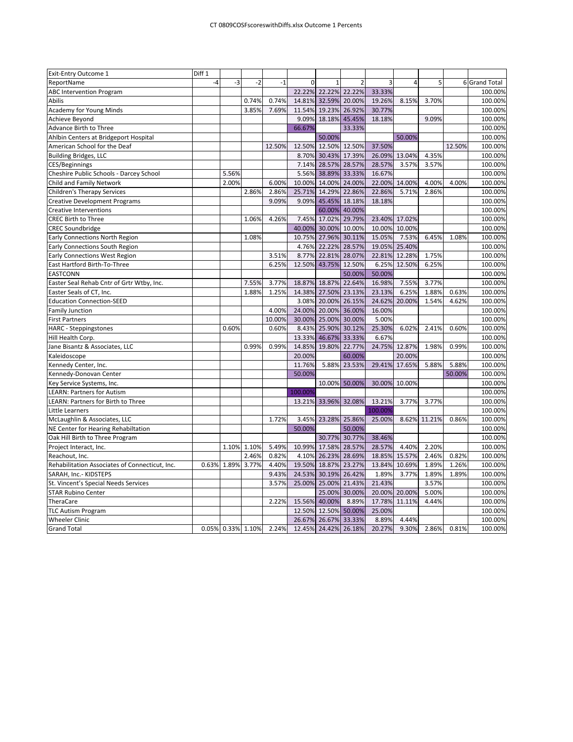| Exit-Entry Outcome 1                           | Diff 1 |                   |       |        |          |                      |                |               |               |        |        |               |
|------------------------------------------------|--------|-------------------|-------|--------|----------|----------------------|----------------|---------------|---------------|--------|--------|---------------|
| ReportName                                     | $-4$   | $-3$              | $-2$  | $-1$   | $\Omega$ | $\mathbf{1}$         | $\overline{2}$ | 3             | 4             | 5      |        | 6 Grand Total |
| <b>ABC Intervention Program</b>                |        |                   |       |        |          | 22.22% 22.22% 22.22% |                | 33.33%        |               |        |        | 100.00%       |
| Abilis                                         |        |                   | 0.74% | 0.74%  | 14.81%   | 32.59%               | 20.00%         | 19.26%        | 8.15%         | 3.70%  |        | 100.00%       |
| Academy for Young Minds                        |        |                   | 3.85% | 7.69%  | 11.54%   | 19.23%               | 26.92%         | 30.77%        |               |        |        | 100.00%       |
| Achieve Beyond                                 |        |                   |       |        | 9.09%    | 18.18% 45.45%        |                | 18.18%        |               | 9.09%  |        | 100.00%       |
| Advance Birth to Three                         |        |                   |       |        | 66.67%   |                      | 33.33%         |               |               |        |        | 100.00%       |
| Ahlbin Centers at Bridgeport Hospital          |        |                   |       |        |          | 50.00%               |                |               | 50.00%        |        |        | 100.00%       |
| American School for the Deaf                   |        |                   |       | 12.50% | 12.50%   | 12.50% 12.50%        |                | 37.50%        |               |        | 12.50% | 100.00%       |
| <b>Building Bridges, LLC</b>                   |        |                   |       |        | 8.70%    |                      | 30.43% 17.39%  | 26.09%        | 13.04%        | 4.35%  |        | 100.00%       |
| CES/Beginnings                                 |        |                   |       |        | 7.14%    | 28.57%               | 28.57%         | 28.57%        | 3.57%         | 3.57%  |        | 100.00%       |
| Cheshire Public Schools - Darcey School        |        | 5.56%             |       |        | 5.56%    | 38.89%               | 33.33%         | 16.67%        |               |        |        | 100.00%       |
| Child and Family Network                       |        | 2.00%             |       | 6.00%  | 10.00%   | 14.00%               | 24.00%         | 22.00%        | 14.00%        | 4.00%  | 4.00%  | 100.00%       |
| <b>Children's Therapy Services</b>             |        |                   | 2.86% | 2.86%  | 25.71%   | 14.29%               | 22.86%         | 22.86%        | 5.71%         | 2.86%  |        | 100.00%       |
| <b>Creative Development Programs</b>           |        |                   |       | 9.09%  | 9.09%    | 45.45%               | 18.18%         | 18.18%        |               |        |        | 100.00%       |
| <b>Creative Interventions</b>                  |        |                   |       |        |          |                      | 60.00% 40.00%  |               |               |        |        | 100.00%       |
| <b>CREC Birth to Three</b>                     |        |                   | 1.06% | 4.26%  | 7.45%    | 17.02%               | 29.79%         | 23.40% 17.02% |               |        |        | 100.00%       |
| <b>CREC Soundbridge</b>                        |        |                   |       |        | 40.00%   | 30.00%               | 10.00%         | 10.00%        | 10.00%        |        |        | 100.00%       |
| Early Connections North Region                 |        |                   | 1.08% |        | 10.75%   | 27.96%               | 30.11%         | 15.05%        | 7.53%         | 6.45%  | 1.08%  | 100.00%       |
| Early Connections South Region                 |        |                   |       |        | 4.76%    | 22.22%               | 28.57%         | 19.05%        | 25.40%        |        |        | 100.00%       |
| Early Connections West Region                  |        |                   |       | 3.51%  | 8.77%    | 22.81%               | 28.07%         | 22.81%        | 12.28%        | 1.75%  |        | 100.00%       |
| East Hartford Birth-To-Three                   |        |                   |       | 6.25%  | 12.50%   | 43.75%               | 12.50%         | 6.25%         | 12.50%        | 6.25%  |        | 100.00%       |
| <b>EASTCONN</b>                                |        |                   |       |        |          |                      | 50.00%         | 50.00%        |               |        |        | 100.00%       |
| Easter Seal Rehab Cntr of Grtr Wtby, Inc.      |        |                   | 7.55% | 3.77%  | 18.87%   | 18.87%               | 22.64%         | 16.98%        | 7.55%         | 3.77%  |        | 100.00%       |
| Easter Seals of CT, Inc.                       |        |                   | 1.88% | 1.25%  | 14.38%   | 27.50%               | 23.13%         | 23.13%        | 6.25%         | 1.88%  | 0.63%  | 100.00%       |
| <b>Education Connection-SEED</b>               |        |                   |       |        | 3.08%    | 20.00%               | 26.15%         | 24.62%        | 20.00%        | 1.54%  | 4.62%  | 100.00%       |
| <b>Family Junction</b>                         |        |                   |       | 4.00%  | 24.00%   | 20.00%               | 36.00%         | 16.00%        |               |        |        | 100.00%       |
| <b>First Partners</b>                          |        |                   |       | 10.00% | 30.00%   | 25.00%               | 30.00%         | 5.00%         |               |        |        | 100.00%       |
| HARC - Steppingstones                          |        | 0.60%             |       | 0.60%  | 8.43%    | 25.90%               | 30.12%         | 25.30%        | 6.02%         | 2.41%  | 0.60%  | 100.00%       |
| Hill Health Corp.                              |        |                   |       |        | 13.33%   | 46.67%               | 33.33%         | 6.67%         |               |        |        | 100.00%       |
| Jane Bisantz & Associates, LLC                 |        |                   | 0.99% | 0.99%  | 14.85%   | 19.80%               | 22.77%         | 24.75%        | 12.87%        | 1.98%  | 0.99%  | 100.00%       |
| Kaleidoscope                                   |        |                   |       |        | 20.00%   |                      | 60.00%         |               | 20.00%        |        |        | 100.00%       |
| Kennedy Center, Inc.                           |        |                   |       |        | 11.76%   | 5.88%                | 23.53%         | 29.41%        | 17.65%        | 5.88%  | 5.88%  | 100.00%       |
| Kennedy-Donovan Center                         |        |                   |       |        | 50.00%   |                      |                |               |               |        | 50.00% | 100.00%       |
| Key Service Systems, Inc.                      |        |                   |       |        |          | 10.00%               | 50.00%         |               | 30.00% 10.00% |        |        | 100.00%       |
| <b>LEARN: Partners for Autism</b>              |        |                   |       |        | 100.00%  |                      |                |               |               |        |        | 100.00%       |
| LEARN: Partners for Birth to Three             |        |                   |       |        |          | 13.21% 33.96% 32.08% |                | 13.21%        | 3.77%         | 3.77%  |        | 100.00%       |
| Little Learners                                |        |                   |       |        |          |                      |                | 100.00%       |               |        |        | 100.00%       |
| McLaughlin & Associates, LLC                   |        |                   |       | 1.72%  | 3.45%    | 23.28%               | 25.86%         | 25.00%        | 8.62%         | 11.21% | 0.86%  | 100.00%       |
| NE Center for Hearing Rehabiltation            |        |                   |       |        | 50.00%   |                      | 50.00%         |               |               |        |        | 100.00%       |
| Oak Hill Birth to Three Program                |        |                   |       |        |          | 30.77%               | 30.77%         | 38.46%        |               |        |        | 100.00%       |
| Project Interact, Inc.                         |        | 1.10%             | 1.10% | 5.49%  | 10.99%   | 17.58%               | 28.57%         | 28.57%        | 4.40%         | 2.20%  |        | 100.00%       |
| Reachout, Inc.                                 |        |                   | 2.46% | 0.82%  | 4.10%    | 26.23%               | 28.69%         | 18.85%        | 15.57%        | 2.46%  | 0.82%  | 100.00%       |
| Rehabilitation Associates of Connecticut, Inc. | 0.63%  | 1.89%             | 3.77% | 4.40%  | 19.50%   | 18.87%               | 23.27%         | 13.84%        | 10.69%        | 1.89%  | 1.26%  | 100.00%       |
| SARAH, Inc.- KIDSTEPS                          |        |                   |       | 9.43%  | 24.53%   | 30.19%               | 26.42%         | 1.89%         | 3.77%         | 1.89%  | 1.89%  | 100.00%       |
| St. Vincent's Special Needs Services           |        |                   |       | 3.57%  | 25.00%   | 25.00%               | 21.43%         | 21.43%        |               | 3.57%  |        | 100.00%       |
| <b>STAR Rubino Center</b>                      |        |                   |       |        |          | 25.00%               | 30.00%         | 20.00%        | 20.00%        | 5.00%  |        | 100.00%       |
| TheraCare                                      |        |                   |       | 2.22%  | 15.56%   | 40.00%               | 8.89%          | 17.78%        | 11.11%        | 4.44%  |        | 100.00%       |
| <b>TLC Autism Program</b>                      |        |                   |       |        | 12.50%   | 12.50%               | 50.00%         | 25.00%        |               |        |        | 100.00%       |
| <b>Wheeler Clinic</b>                          |        |                   |       |        | 26.67%   | 26.67%               | 33.33%         | 8.89%         | 4.44%         |        |        | 100.00%       |
| <b>Grand Total</b>                             |        | 0.05% 0.33% 1.10% |       | 2.24%  |          | 12.45% 24.42% 26.18% |                | 20.27%        | 9.30%         | 2.86%  | 0.81%  | 100.00%       |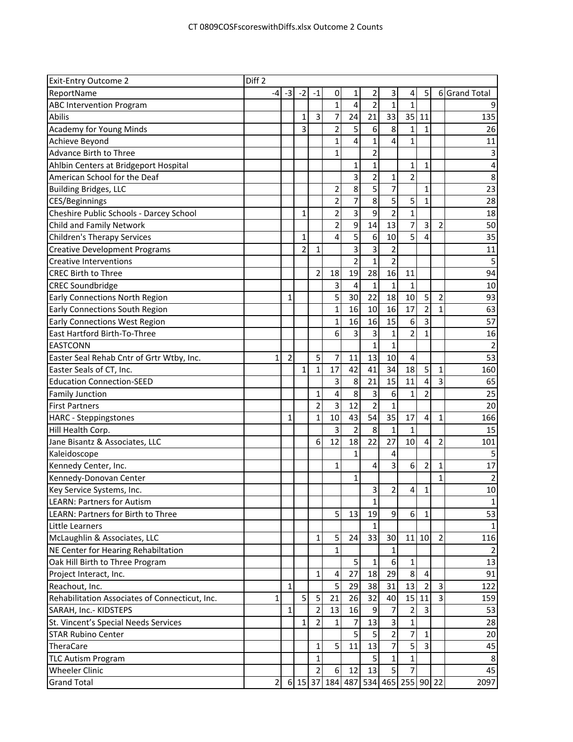| <b>Exit-Entry Outcome 2</b>                    | Diff <sub>2</sub> |                |                |                |                                   |                |                |                |                         |                |                              |                |
|------------------------------------------------|-------------------|----------------|----------------|----------------|-----------------------------------|----------------|----------------|----------------|-------------------------|----------------|------------------------------|----------------|
| ReportName                                     | -4                | $-3$           | $-2$           | -1             | 0                                 | 1              | 2              | 3              | 4                       | 5              |                              | 6 Grand Total  |
| <b>ABC Intervention Program</b>                |                   |                |                |                | $\mathbf{1}$                      | 4              | $\overline{2}$ | $\mathbf{1}$   | $\mathbf{1}$            |                |                              |                |
| Abilis                                         |                   |                | $\mathbf{1}$   | 3              | 7                                 | 24             | 21             | 33             | 35                      | 11             |                              | 135            |
| <b>Academy for Young Minds</b>                 |                   |                | 3              |                | $\overline{2}$                    | 5              | 6              | 8              | 1                       | 1              |                              | 26             |
| Achieve Beyond                                 |                   |                |                |                | 1                                 | 4              | $\mathbf{1}$   | 4              | 1                       |                |                              | 11             |
| Advance Birth to Three                         |                   |                |                |                | $\mathbf{1}$                      |                | $\overline{2}$ |                |                         |                |                              |                |
| Ahlbin Centers at Bridgeport Hospital          |                   |                |                |                |                                   | 1              | 1              |                | 1                       | $\mathbf{1}$   |                              | 4              |
| American School for the Deaf                   |                   |                |                |                |                                   | $\overline{3}$ | $\overline{2}$ | 1              | $\overline{\mathbf{c}}$ |                |                              | 8              |
| <b>Building Bridges, LLC</b>                   |                   |                |                |                | 2                                 | 8              | 5              | 7              |                         | $\mathbf{1}$   |                              | 23             |
| CES/Beginnings                                 |                   |                |                |                | 2                                 | 7              | $\overline{8}$ | 5              | 5                       | $\mathbf{1}$   |                              | 28             |
| Cheshire Public Schools - Darcey School        |                   |                | $\mathbf{1}$   |                | $\overline{c}$                    | 3              | 9              | $\overline{2}$ | $\mathbf{1}$            |                |                              | 18             |
| Child and Family Network                       |                   |                |                |                | 2                                 | 9              | 14             | 13             | 7                       | 3              | $\overline{2}$               | 50             |
| <b>Children's Therapy Services</b>             |                   |                | $\mathbf{1}$   |                | 4                                 | 5              | 6              | 10             | $\overline{5}$          | 4              |                              | 35             |
| <b>Creative Development Programs</b>           |                   |                | $\overline{2}$ | $\mathbf{1}$   |                                   | 3              | 3              | 2              |                         |                |                              | 11             |
| <b>Creative Interventions</b>                  |                   |                |                |                |                                   | $\overline{2}$ | $\mathbf{1}$   | $\overline{2}$ |                         |                |                              | 5              |
| <b>CREC Birth to Three</b>                     |                   |                |                | $\overline{2}$ | 18                                | 19             | 28             | 16             | 11                      |                |                              | 94             |
| <b>CREC Soundbridge</b>                        |                   |                |                |                | 3                                 | 4              | 1              | $\mathbf{1}$   | 1                       |                |                              | 10             |
| <b>Early Connections North Region</b>          |                   | $\mathbf{1}$   |                |                | 5                                 | 30             | 22             | 18             | 10                      | 5              | $\overline{2}$               | 93             |
| Early Connections South Region                 |                   |                |                |                | $\mathbf{1}$                      | 16             | 10             | 16             | 17                      | $\overline{2}$ | 1                            | 63             |
| <b>Early Connections West Region</b>           |                   |                |                |                | 1                                 | 16             | 16             | 15             | 6                       | 3              |                              | 57             |
| East Hartford Birth-To-Three                   |                   |                |                |                | 6                                 | 3              | 3              | $\mathbf{1}$   | 2                       | 1              |                              | 16             |
| <b>EASTCONN</b>                                |                   |                |                |                |                                   |                | $\mathbf{1}$   | $\mathbf{1}$   |                         |                |                              | $\overline{2}$ |
| Easter Seal Rehab Cntr of Grtr Wtby, Inc.      | 1                 | $\overline{2}$ |                | 5              | 7                                 | 11             | 13             | 10             | 4                       |                |                              | 53             |
| Easter Seals of CT, Inc.                       |                   |                | 1              | $\mathbf{1}$   | 17                                | 42             | 41             | 34             | 18                      | 5              | $\mathbf 1$                  | 160            |
| <b>Education Connection-SEED</b>               |                   |                |                |                | 3                                 | 8              | 21             | 15             | 11                      | 4              | $\overline{3}$               | 65             |
| <b>Family Junction</b>                         |                   |                |                | $\mathbf{1}$   | 4                                 | 8              | 3              | 6              | 1                       | $\overline{2}$ |                              | 25             |
| <b>First Partners</b>                          |                   |                |                | $\overline{2}$ | 3                                 | 12             | $\overline{2}$ | $\mathbf{1}$   |                         |                |                              | 20             |
| <b>HARC</b> - Steppingstones                   |                   | 1              |                | $\mathbf{1}$   | 10                                | 43             | 54             | 35             | 17                      | 4              | 1                            | 166            |
| Hill Health Corp.                              |                   |                |                |                | 3                                 | $\overline{2}$ | 8              | 1              | 1                       |                |                              | 15             |
| Jane Bisantz & Associates, LLC                 |                   |                |                | 6              | 12                                | 18             | 22             | 27             | 10                      | 4              | 2                            | 101            |
| Kaleidoscope                                   |                   |                |                |                |                                   | 1              |                | 4              |                         |                |                              | 5              |
| Kennedy Center, Inc.                           |                   |                |                |                | 1                                 |                | 4              | 3              | 6                       | $\overline{2}$ | 1                            | 17             |
| Kennedy-Donovan Center                         |                   |                |                |                |                                   | 1              |                |                |                         |                | 1                            |                |
| Key Service Systems, Inc.                      |                   |                |                |                |                                   |                | $\overline{3}$ | $\overline{2}$ | $\overline{\mathbf{4}}$ | $\mathbf{1}$   |                              | 2<br>10        |
| <b>LEARN: Partners for Autism</b>              |                   |                |                |                |                                   |                | $1\vert$       |                |                         |                |                              | $\mathbf{1}$   |
| LEARN: Partners for Birth to Three             |                   |                |                |                | 5 <sup>1</sup>                    | 13             | 19             | 9              | 6                       | 1              |                              | 53             |
| Little Learners                                |                   |                |                |                |                                   |                | 1 <sup>1</sup> |                |                         |                |                              | $\mathbf{1}$   |
| McLaughlin & Associates, LLC                   |                   |                |                | $\mathbf{1}$   | 5                                 | 24             | 33             | 30             | 11                      | 10             | $\overline{2}$               | 116            |
|                                                |                   |                |                |                | 1                                 |                |                | 1              |                         |                |                              |                |
| NE Center for Hearing Rehabiltation            |                   |                |                |                |                                   |                |                |                |                         |                |                              |                |
| Oak Hill Birth to Three Program                |                   |                |                |                |                                   | 5<br>27        | $\mathbf{1}$   | 6<br>29        | 1<br>8                  | 4              |                              | 13             |
| Project Interact, Inc.                         |                   |                |                | $\mathbf{1}$   | 4                                 |                | 18             |                |                         |                |                              | 91             |
| Reachout, Inc.                                 |                   | 1              |                |                | 5                                 | 29             | 38<br>32       | 31             | 13                      | $\overline{2}$ | $\overline{\mathbf{3}}$<br>س | 122            |
| Rehabilitation Associates of Connecticut, Inc. | 1                 |                | 5              | 5              | 21                                | 26             |                | 40             | 15                      | 11             |                              | 159            |
| SARAH, Inc.- KIDSTEPS                          |                   | $1\vert$       |                | $\overline{2}$ | 13                                | 16             | 9              | 7              | $\overline{\mathbf{c}}$ | $\overline{3}$ |                              | 53             |
| St. Vincent's Special Needs Services           |                   |                | $\mathbf{1}$   | $\overline{2}$ | 1                                 | 7              | 13             | 3              | $\mathbf{1}$            |                |                              | 28             |
| <b>STAR Rubino Center</b>                      |                   |                |                |                |                                   | 5 <sup>1</sup> | 5 <sup>1</sup> | $\overline{2}$ | 7                       | $\mathbf{1}$   |                              | 20             |
| TheraCare                                      |                   |                |                | $\mathbf{1}$   | 5                                 | 11             | 13             | $\overline{7}$ | $\overline{5}$          | $\overline{3}$ |                              | 45             |
| <b>TLC Autism Program</b>                      |                   |                |                | $\mathbf{1}$   |                                   |                | $\overline{5}$ | 1              | $\mathbf{1}$            |                |                              | 8              |
| <b>Wheeler Clinic</b>                          |                   |                |                | 2              | 6                                 | 12             | 13             | 5              | $\overline{7}$          |                |                              | 45             |
| <b>Grand Total</b>                             | $\overline{2}$    |                |                |                | 6 15 37 184 487 534 465 255 90 22 |                |                |                |                         |                |                              | 2097           |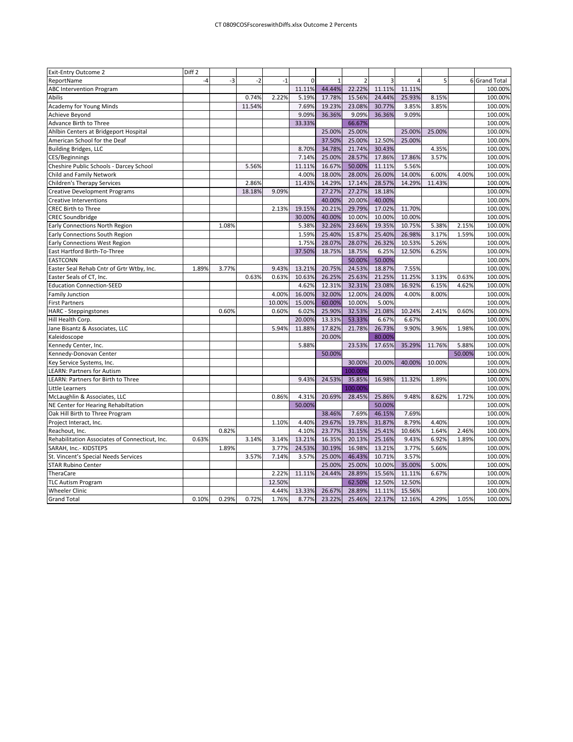| $-3$<br>$-2$<br>$\overline{2}$<br>5<br>ReportName<br>$-4$<br>$-1$<br>$\mathbf 0$<br>3<br>6 Grand Total<br>4<br>11.11%<br>44.44%<br>100.00%<br><b>ABC Intervention Program</b><br>22.22%<br>11.11%<br>11.11%<br>2.22%<br>17.78%<br>25.93%<br>0.74%<br>5.19%<br>15.56%<br>24.44%<br>8.15%<br>100.00%<br>Abilis<br><b>Academy for Young Minds</b><br>11.54%<br>7.69%<br>19.23%<br>23.08%<br>30.77%<br>3.85%<br>3.85%<br>100.00%<br>9.09%<br>36.36%<br>9.09%<br>36.36%<br>9.09%<br>100.00%<br><b>Achieve Beyond</b><br>Advance Birth to Three<br>33.33%<br>66.67%<br>100.00%<br>25.00%<br>25.00%<br>100.00%<br>Ahlbin Centers at Bridgeport Hospital<br>25.00%<br>25.00%<br>37.50%<br>12.50%<br>American School for the Deaf<br>25.00%<br>25.00%<br>100.00%<br>34.78%<br>21.74%<br>30.43%<br>4.35%<br><b>Building Bridges, LLC</b><br>8.70%<br>100.00%<br>25.00%<br>28.57%<br>7.14%<br>17.86%<br>17.86%<br>3.57%<br>100.00%<br><b>CES/Beginnings</b><br>11.11%<br>16.67%<br>50.00%<br>11.11%<br>100.00%<br>Cheshire Public Schools - Darcey School<br>5.56%<br>5.56%<br>4.00%<br>14.00%<br>Child and Family Network<br>18.00%<br>28.00%<br>26.00%<br>6.00%<br>4.00%<br>100.00%<br>2.86%<br>11.43%<br>14.29%<br>17.14%<br>28.57%<br>14.29%<br><b>Children's Therapy Services</b><br>11.43%<br>100.00%<br>18.18%<br>27.27%<br>27.27%<br>18.18%<br>9.09%<br>100.00%<br><b>Creative Development Programs</b><br>40.00%<br>20.00%<br>40.00%<br>100.00%<br><b>Creative Interventions</b><br>20.21%<br>29.79%<br>100.00%<br>CREC Birth to Three<br>2.13%<br>19.15%<br>17.02%<br>11.70%<br>40.00%<br>10.00%<br><b>CREC Soundbridge</b><br>30.00%<br>10.00%<br>10.00%<br>100.00%<br>32.26%<br>23.66%<br>19.35%<br>100.00%<br>1.08%<br>5.38%<br>10.75%<br>5.38%<br>2.15%<br>Early Connections North Region<br>Early Connections South Region<br>1.59%<br>25.40%<br>15.87%<br>25.40%<br>3.17%<br>26.98%<br>1.59%<br>100.00%<br>1.75%<br>28.07%<br>28.07%<br>26.32%<br>5.26%<br>100.00%<br>Early Connections West Region<br>10.53%<br>East Hartford Birth-To-Three<br>37.50%<br>18.75%<br>18.75%<br>6.25%<br>6.25%<br>100.00%<br>12.50%<br>50.00%<br>50.00%<br><b>EASTCONN</b><br>100.00%<br>20.75%<br>Easter Seal Rehab Cntr of Grtr Wtby, Inc.<br>1.89%<br>3.77%<br>9.43%<br>13.21%<br>24.53%<br>18.87%<br>7.55%<br>100.00%<br>0.63%<br>0.63%<br>10.63%<br>26.25%<br>25.63%<br>21.25%<br>11.25%<br>3.13%<br>100.00%<br>Easter Seals of CT, Inc.<br>0.63%<br>12.31%<br><b>Education Connection-SEED</b><br>4.62%<br>32.31%<br>23.08%<br>16.92%<br>6.15%<br>100.00%<br>4.62%<br>4.00%<br>16.00%<br>32.00%<br>12.00%<br>24.00%<br><b>Family Junction</b><br>4.00%<br>8.00%<br>100.00%<br>15.00%<br>60.00%<br>10.00%<br>5.00%<br>100.00%<br><b>First Partners</b><br>10.00%<br>0.60%<br>6.02%<br>25.90%<br>32.53%<br>21.08%<br>2.41%<br>100.00%<br>HARC - Steppingstones<br>0.60%<br>10.24%<br>0.60%<br>20.00%<br>13.33%<br>53.33%<br>6.67%<br>6.67%<br>100.00%<br>Hill Health Corp.<br>5.94%<br>11.88%<br>17.82%<br>21.78%<br>26.73%<br>9.90%<br>3.96%<br>1.98%<br>100.00%<br>Jane Bisantz & Associates, LLC<br>20.00%<br>80.00%<br>100.00%<br>Kaleidoscope<br>5.88%<br>23.53%<br>17.65%<br>35.29%<br>11.76%<br>5.88%<br>100.00%<br>Kennedy Center, Inc.<br>50.00%<br>50.00%<br>100.00%<br>Kennedy-Donovan Center<br>30.00%<br>20.00%<br>40.00%<br>100.00%<br>Key Service Systems, Inc.<br>10.00%<br>100.00%<br>100.009<br><b>LEARN: Partners for Autism</b><br>9.43%<br>24.53%<br>35.85%<br>16.98%<br>100.00%<br>LEARN: Partners for Birth to Three<br>11.32%<br>1.89%<br>100.00%<br>Little Learners<br>100.009<br>McLaughlin & Associates, LLC<br>20.69%<br>0.86%<br>4.31%<br>28.45%<br>25.86%<br>9.48%<br>8.62%<br>1.72%<br>100.00%<br>50.00%<br>50.00%<br>100.00%<br>NE Center for Hearing Rehabiltation<br>Oak Hill Birth to Three Program<br>38.46%<br>7.69%<br>46.15%<br>7.69%<br>100.00%<br>Project Interact, Inc.<br>1.10%<br>4.40%<br>29.67%<br>19.78%<br>31.87%<br>8.79%<br>4.40%<br>100.00%<br>Reachout, Inc.<br>0.82%<br>4.10%<br>23.77%<br>31.15%<br>25.41%<br>10.66%<br>1.64%<br>2.46%<br>100.00%<br>16.35%<br>0.63%<br>3.14%<br>3.14%<br>13.21%<br>20.13%<br>25.16%<br>9.43%<br>6.92%<br>1.89%<br>100.00%<br>Rehabilitation Associates of Connecticut, Inc.<br>3.77%<br>24.53%<br>30.19%<br>16.98%<br>13.21%<br>3.77%<br>5.66%<br>SARAH, Inc.- KIDSTEPS<br>1.89%<br>100.00%<br>7.14%<br>3.57%<br>25.00%<br>46.43%<br>3.57%<br>3.57%<br>10.71%<br>100.00%<br>St. Vincent's Special Needs Services<br>25.00%<br>25.00%<br>10.00%<br>35.00%<br>100.00%<br><b>STAR Rubino Center</b><br>5.00%<br>6.67%<br>2.22%<br>11.11%<br>24.44%<br>28.89%<br>15.56%<br>11.11%<br>100.00%<br>TheraCare<br>12.50%<br>62.50%<br>12.50%<br>12.50%<br>100.00%<br><b>TLC Autism Program</b><br>4.44%<br>13.33%<br>26.67%<br>28.89%<br>11.11%<br>15.56%<br>100.00%<br><b>Wheeler Clinic</b><br><b>Grand Total</b><br>0.10%<br>0.29%<br>0.72%<br>1.76%<br>8.77%<br>23.22%<br>25.46%<br>22.17%<br>12.16%<br>4.29%<br>1.05%<br>100.00% | Exit-Entry Outcome 2 | Diff <sub>2</sub> |  |  |  |  |  |  |
|-------------------------------------------------------------------------------------------------------------------------------------------------------------------------------------------------------------------------------------------------------------------------------------------------------------------------------------------------------------------------------------------------------------------------------------------------------------------------------------------------------------------------------------------------------------------------------------------------------------------------------------------------------------------------------------------------------------------------------------------------------------------------------------------------------------------------------------------------------------------------------------------------------------------------------------------------------------------------------------------------------------------------------------------------------------------------------------------------------------------------------------------------------------------------------------------------------------------------------------------------------------------------------------------------------------------------------------------------------------------------------------------------------------------------------------------------------------------------------------------------------------------------------------------------------------------------------------------------------------------------------------------------------------------------------------------------------------------------------------------------------------------------------------------------------------------------------------------------------------------------------------------------------------------------------------------------------------------------------------------------------------------------------------------------------------------------------------------------------------------------------------------------------------------------------------------------------------------------------------------------------------------------------------------------------------------------------------------------------------------------------------------------------------------------------------------------------------------------------------------------------------------------------------------------------------------------------------------------------------------------------------------------------------------------------------------------------------------------------------------------------------------------------------------------------------------------------------------------------------------------------------------------------------------------------------------------------------------------------------------------------------------------------------------------------------------------------------------------------------------------------------------------------------------------------------------------------------------------------------------------------------------------------------------------------------------------------------------------------------------------------------------------------------------------------------------------------------------------------------------------------------------------------------------------------------------------------------------------------------------------------------------------------------------------------------------------------------------------------------------------------------------------------------------------------------------------------------------------------------------------------------------------------------------------------------------------------------------------------------------------------------------------------------------------------------------------------------------------------------------------------------------------------------------------------------------------------------------------------------------------------------------------------------------------------------------------------------------------------------------------------------------------------------------------------------------------------------------------------------------------------------------------------------------------------------------------------------------------------------------------------------------------------------------------------------------------------------------------------------------------------------------------------------------------------------------------------------------------------------------------------------------------------------------------------------------------------------------------------------------------------------|----------------------|-------------------|--|--|--|--|--|--|
|                                                                                                                                                                                                                                                                                                                                                                                                                                                                                                                                                                                                                                                                                                                                                                                                                                                                                                                                                                                                                                                                                                                                                                                                                                                                                                                                                                                                                                                                                                                                                                                                                                                                                                                                                                                                                                                                                                                                                                                                                                                                                                                                                                                                                                                                                                                                                                                                                                                                                                                                                                                                                                                                                                                                                                                                                                                                                                                                                                                                                                                                                                                                                                                                                                                                                                                                                                                                                                                                                                                                                                                                                                                                                                                                                                                                                                                                                                                                                                                                                                                                                                                                                                                                                                                                                                                                                                                                                                                                                                                                                                                                                                                                                                                                                                                                                                                                                                                                                                                                             |                      |                   |  |  |  |  |  |  |
|                                                                                                                                                                                                                                                                                                                                                                                                                                                                                                                                                                                                                                                                                                                                                                                                                                                                                                                                                                                                                                                                                                                                                                                                                                                                                                                                                                                                                                                                                                                                                                                                                                                                                                                                                                                                                                                                                                                                                                                                                                                                                                                                                                                                                                                                                                                                                                                                                                                                                                                                                                                                                                                                                                                                                                                                                                                                                                                                                                                                                                                                                                                                                                                                                                                                                                                                                                                                                                                                                                                                                                                                                                                                                                                                                                                                                                                                                                                                                                                                                                                                                                                                                                                                                                                                                                                                                                                                                                                                                                                                                                                                                                                                                                                                                                                                                                                                                                                                                                                                             |                      |                   |  |  |  |  |  |  |
|                                                                                                                                                                                                                                                                                                                                                                                                                                                                                                                                                                                                                                                                                                                                                                                                                                                                                                                                                                                                                                                                                                                                                                                                                                                                                                                                                                                                                                                                                                                                                                                                                                                                                                                                                                                                                                                                                                                                                                                                                                                                                                                                                                                                                                                                                                                                                                                                                                                                                                                                                                                                                                                                                                                                                                                                                                                                                                                                                                                                                                                                                                                                                                                                                                                                                                                                                                                                                                                                                                                                                                                                                                                                                                                                                                                                                                                                                                                                                                                                                                                                                                                                                                                                                                                                                                                                                                                                                                                                                                                                                                                                                                                                                                                                                                                                                                                                                                                                                                                                             |                      |                   |  |  |  |  |  |  |
|                                                                                                                                                                                                                                                                                                                                                                                                                                                                                                                                                                                                                                                                                                                                                                                                                                                                                                                                                                                                                                                                                                                                                                                                                                                                                                                                                                                                                                                                                                                                                                                                                                                                                                                                                                                                                                                                                                                                                                                                                                                                                                                                                                                                                                                                                                                                                                                                                                                                                                                                                                                                                                                                                                                                                                                                                                                                                                                                                                                                                                                                                                                                                                                                                                                                                                                                                                                                                                                                                                                                                                                                                                                                                                                                                                                                                                                                                                                                                                                                                                                                                                                                                                                                                                                                                                                                                                                                                                                                                                                                                                                                                                                                                                                                                                                                                                                                                                                                                                                                             |                      |                   |  |  |  |  |  |  |
|                                                                                                                                                                                                                                                                                                                                                                                                                                                                                                                                                                                                                                                                                                                                                                                                                                                                                                                                                                                                                                                                                                                                                                                                                                                                                                                                                                                                                                                                                                                                                                                                                                                                                                                                                                                                                                                                                                                                                                                                                                                                                                                                                                                                                                                                                                                                                                                                                                                                                                                                                                                                                                                                                                                                                                                                                                                                                                                                                                                                                                                                                                                                                                                                                                                                                                                                                                                                                                                                                                                                                                                                                                                                                                                                                                                                                                                                                                                                                                                                                                                                                                                                                                                                                                                                                                                                                                                                                                                                                                                                                                                                                                                                                                                                                                                                                                                                                                                                                                                                             |                      |                   |  |  |  |  |  |  |
|                                                                                                                                                                                                                                                                                                                                                                                                                                                                                                                                                                                                                                                                                                                                                                                                                                                                                                                                                                                                                                                                                                                                                                                                                                                                                                                                                                                                                                                                                                                                                                                                                                                                                                                                                                                                                                                                                                                                                                                                                                                                                                                                                                                                                                                                                                                                                                                                                                                                                                                                                                                                                                                                                                                                                                                                                                                                                                                                                                                                                                                                                                                                                                                                                                                                                                                                                                                                                                                                                                                                                                                                                                                                                                                                                                                                                                                                                                                                                                                                                                                                                                                                                                                                                                                                                                                                                                                                                                                                                                                                                                                                                                                                                                                                                                                                                                                                                                                                                                                                             |                      |                   |  |  |  |  |  |  |
|                                                                                                                                                                                                                                                                                                                                                                                                                                                                                                                                                                                                                                                                                                                                                                                                                                                                                                                                                                                                                                                                                                                                                                                                                                                                                                                                                                                                                                                                                                                                                                                                                                                                                                                                                                                                                                                                                                                                                                                                                                                                                                                                                                                                                                                                                                                                                                                                                                                                                                                                                                                                                                                                                                                                                                                                                                                                                                                                                                                                                                                                                                                                                                                                                                                                                                                                                                                                                                                                                                                                                                                                                                                                                                                                                                                                                                                                                                                                                                                                                                                                                                                                                                                                                                                                                                                                                                                                                                                                                                                                                                                                                                                                                                                                                                                                                                                                                                                                                                                                             |                      |                   |  |  |  |  |  |  |
|                                                                                                                                                                                                                                                                                                                                                                                                                                                                                                                                                                                                                                                                                                                                                                                                                                                                                                                                                                                                                                                                                                                                                                                                                                                                                                                                                                                                                                                                                                                                                                                                                                                                                                                                                                                                                                                                                                                                                                                                                                                                                                                                                                                                                                                                                                                                                                                                                                                                                                                                                                                                                                                                                                                                                                                                                                                                                                                                                                                                                                                                                                                                                                                                                                                                                                                                                                                                                                                                                                                                                                                                                                                                                                                                                                                                                                                                                                                                                                                                                                                                                                                                                                                                                                                                                                                                                                                                                                                                                                                                                                                                                                                                                                                                                                                                                                                                                                                                                                                                             |                      |                   |  |  |  |  |  |  |
|                                                                                                                                                                                                                                                                                                                                                                                                                                                                                                                                                                                                                                                                                                                                                                                                                                                                                                                                                                                                                                                                                                                                                                                                                                                                                                                                                                                                                                                                                                                                                                                                                                                                                                                                                                                                                                                                                                                                                                                                                                                                                                                                                                                                                                                                                                                                                                                                                                                                                                                                                                                                                                                                                                                                                                                                                                                                                                                                                                                                                                                                                                                                                                                                                                                                                                                                                                                                                                                                                                                                                                                                                                                                                                                                                                                                                                                                                                                                                                                                                                                                                                                                                                                                                                                                                                                                                                                                                                                                                                                                                                                                                                                                                                                                                                                                                                                                                                                                                                                                             |                      |                   |  |  |  |  |  |  |
|                                                                                                                                                                                                                                                                                                                                                                                                                                                                                                                                                                                                                                                                                                                                                                                                                                                                                                                                                                                                                                                                                                                                                                                                                                                                                                                                                                                                                                                                                                                                                                                                                                                                                                                                                                                                                                                                                                                                                                                                                                                                                                                                                                                                                                                                                                                                                                                                                                                                                                                                                                                                                                                                                                                                                                                                                                                                                                                                                                                                                                                                                                                                                                                                                                                                                                                                                                                                                                                                                                                                                                                                                                                                                                                                                                                                                                                                                                                                                                                                                                                                                                                                                                                                                                                                                                                                                                                                                                                                                                                                                                                                                                                                                                                                                                                                                                                                                                                                                                                                             |                      |                   |  |  |  |  |  |  |
|                                                                                                                                                                                                                                                                                                                                                                                                                                                                                                                                                                                                                                                                                                                                                                                                                                                                                                                                                                                                                                                                                                                                                                                                                                                                                                                                                                                                                                                                                                                                                                                                                                                                                                                                                                                                                                                                                                                                                                                                                                                                                                                                                                                                                                                                                                                                                                                                                                                                                                                                                                                                                                                                                                                                                                                                                                                                                                                                                                                                                                                                                                                                                                                                                                                                                                                                                                                                                                                                                                                                                                                                                                                                                                                                                                                                                                                                                                                                                                                                                                                                                                                                                                                                                                                                                                                                                                                                                                                                                                                                                                                                                                                                                                                                                                                                                                                                                                                                                                                                             |                      |                   |  |  |  |  |  |  |
|                                                                                                                                                                                                                                                                                                                                                                                                                                                                                                                                                                                                                                                                                                                                                                                                                                                                                                                                                                                                                                                                                                                                                                                                                                                                                                                                                                                                                                                                                                                                                                                                                                                                                                                                                                                                                                                                                                                                                                                                                                                                                                                                                                                                                                                                                                                                                                                                                                                                                                                                                                                                                                                                                                                                                                                                                                                                                                                                                                                                                                                                                                                                                                                                                                                                                                                                                                                                                                                                                                                                                                                                                                                                                                                                                                                                                                                                                                                                                                                                                                                                                                                                                                                                                                                                                                                                                                                                                                                                                                                                                                                                                                                                                                                                                                                                                                                                                                                                                                                                             |                      |                   |  |  |  |  |  |  |
|                                                                                                                                                                                                                                                                                                                                                                                                                                                                                                                                                                                                                                                                                                                                                                                                                                                                                                                                                                                                                                                                                                                                                                                                                                                                                                                                                                                                                                                                                                                                                                                                                                                                                                                                                                                                                                                                                                                                                                                                                                                                                                                                                                                                                                                                                                                                                                                                                                                                                                                                                                                                                                                                                                                                                                                                                                                                                                                                                                                                                                                                                                                                                                                                                                                                                                                                                                                                                                                                                                                                                                                                                                                                                                                                                                                                                                                                                                                                                                                                                                                                                                                                                                                                                                                                                                                                                                                                                                                                                                                                                                                                                                                                                                                                                                                                                                                                                                                                                                                                             |                      |                   |  |  |  |  |  |  |
|                                                                                                                                                                                                                                                                                                                                                                                                                                                                                                                                                                                                                                                                                                                                                                                                                                                                                                                                                                                                                                                                                                                                                                                                                                                                                                                                                                                                                                                                                                                                                                                                                                                                                                                                                                                                                                                                                                                                                                                                                                                                                                                                                                                                                                                                                                                                                                                                                                                                                                                                                                                                                                                                                                                                                                                                                                                                                                                                                                                                                                                                                                                                                                                                                                                                                                                                                                                                                                                                                                                                                                                                                                                                                                                                                                                                                                                                                                                                                                                                                                                                                                                                                                                                                                                                                                                                                                                                                                                                                                                                                                                                                                                                                                                                                                                                                                                                                                                                                                                                             |                      |                   |  |  |  |  |  |  |
|                                                                                                                                                                                                                                                                                                                                                                                                                                                                                                                                                                                                                                                                                                                                                                                                                                                                                                                                                                                                                                                                                                                                                                                                                                                                                                                                                                                                                                                                                                                                                                                                                                                                                                                                                                                                                                                                                                                                                                                                                                                                                                                                                                                                                                                                                                                                                                                                                                                                                                                                                                                                                                                                                                                                                                                                                                                                                                                                                                                                                                                                                                                                                                                                                                                                                                                                                                                                                                                                                                                                                                                                                                                                                                                                                                                                                                                                                                                                                                                                                                                                                                                                                                                                                                                                                                                                                                                                                                                                                                                                                                                                                                                                                                                                                                                                                                                                                                                                                                                                             |                      |                   |  |  |  |  |  |  |
|                                                                                                                                                                                                                                                                                                                                                                                                                                                                                                                                                                                                                                                                                                                                                                                                                                                                                                                                                                                                                                                                                                                                                                                                                                                                                                                                                                                                                                                                                                                                                                                                                                                                                                                                                                                                                                                                                                                                                                                                                                                                                                                                                                                                                                                                                                                                                                                                                                                                                                                                                                                                                                                                                                                                                                                                                                                                                                                                                                                                                                                                                                                                                                                                                                                                                                                                                                                                                                                                                                                                                                                                                                                                                                                                                                                                                                                                                                                                                                                                                                                                                                                                                                                                                                                                                                                                                                                                                                                                                                                                                                                                                                                                                                                                                                                                                                                                                                                                                                                                             |                      |                   |  |  |  |  |  |  |
|                                                                                                                                                                                                                                                                                                                                                                                                                                                                                                                                                                                                                                                                                                                                                                                                                                                                                                                                                                                                                                                                                                                                                                                                                                                                                                                                                                                                                                                                                                                                                                                                                                                                                                                                                                                                                                                                                                                                                                                                                                                                                                                                                                                                                                                                                                                                                                                                                                                                                                                                                                                                                                                                                                                                                                                                                                                                                                                                                                                                                                                                                                                                                                                                                                                                                                                                                                                                                                                                                                                                                                                                                                                                                                                                                                                                                                                                                                                                                                                                                                                                                                                                                                                                                                                                                                                                                                                                                                                                                                                                                                                                                                                                                                                                                                                                                                                                                                                                                                                                             |                      |                   |  |  |  |  |  |  |
|                                                                                                                                                                                                                                                                                                                                                                                                                                                                                                                                                                                                                                                                                                                                                                                                                                                                                                                                                                                                                                                                                                                                                                                                                                                                                                                                                                                                                                                                                                                                                                                                                                                                                                                                                                                                                                                                                                                                                                                                                                                                                                                                                                                                                                                                                                                                                                                                                                                                                                                                                                                                                                                                                                                                                                                                                                                                                                                                                                                                                                                                                                                                                                                                                                                                                                                                                                                                                                                                                                                                                                                                                                                                                                                                                                                                                                                                                                                                                                                                                                                                                                                                                                                                                                                                                                                                                                                                                                                                                                                                                                                                                                                                                                                                                                                                                                                                                                                                                                                                             |                      |                   |  |  |  |  |  |  |
|                                                                                                                                                                                                                                                                                                                                                                                                                                                                                                                                                                                                                                                                                                                                                                                                                                                                                                                                                                                                                                                                                                                                                                                                                                                                                                                                                                                                                                                                                                                                                                                                                                                                                                                                                                                                                                                                                                                                                                                                                                                                                                                                                                                                                                                                                                                                                                                                                                                                                                                                                                                                                                                                                                                                                                                                                                                                                                                                                                                                                                                                                                                                                                                                                                                                                                                                                                                                                                                                                                                                                                                                                                                                                                                                                                                                                                                                                                                                                                                                                                                                                                                                                                                                                                                                                                                                                                                                                                                                                                                                                                                                                                                                                                                                                                                                                                                                                                                                                                                                             |                      |                   |  |  |  |  |  |  |
|                                                                                                                                                                                                                                                                                                                                                                                                                                                                                                                                                                                                                                                                                                                                                                                                                                                                                                                                                                                                                                                                                                                                                                                                                                                                                                                                                                                                                                                                                                                                                                                                                                                                                                                                                                                                                                                                                                                                                                                                                                                                                                                                                                                                                                                                                                                                                                                                                                                                                                                                                                                                                                                                                                                                                                                                                                                                                                                                                                                                                                                                                                                                                                                                                                                                                                                                                                                                                                                                                                                                                                                                                                                                                                                                                                                                                                                                                                                                                                                                                                                                                                                                                                                                                                                                                                                                                                                                                                                                                                                                                                                                                                                                                                                                                                                                                                                                                                                                                                                                             |                      |                   |  |  |  |  |  |  |
|                                                                                                                                                                                                                                                                                                                                                                                                                                                                                                                                                                                                                                                                                                                                                                                                                                                                                                                                                                                                                                                                                                                                                                                                                                                                                                                                                                                                                                                                                                                                                                                                                                                                                                                                                                                                                                                                                                                                                                                                                                                                                                                                                                                                                                                                                                                                                                                                                                                                                                                                                                                                                                                                                                                                                                                                                                                                                                                                                                                                                                                                                                                                                                                                                                                                                                                                                                                                                                                                                                                                                                                                                                                                                                                                                                                                                                                                                                                                                                                                                                                                                                                                                                                                                                                                                                                                                                                                                                                                                                                                                                                                                                                                                                                                                                                                                                                                                                                                                                                                             |                      |                   |  |  |  |  |  |  |
|                                                                                                                                                                                                                                                                                                                                                                                                                                                                                                                                                                                                                                                                                                                                                                                                                                                                                                                                                                                                                                                                                                                                                                                                                                                                                                                                                                                                                                                                                                                                                                                                                                                                                                                                                                                                                                                                                                                                                                                                                                                                                                                                                                                                                                                                                                                                                                                                                                                                                                                                                                                                                                                                                                                                                                                                                                                                                                                                                                                                                                                                                                                                                                                                                                                                                                                                                                                                                                                                                                                                                                                                                                                                                                                                                                                                                                                                                                                                                                                                                                                                                                                                                                                                                                                                                                                                                                                                                                                                                                                                                                                                                                                                                                                                                                                                                                                                                                                                                                                                             |                      |                   |  |  |  |  |  |  |
|                                                                                                                                                                                                                                                                                                                                                                                                                                                                                                                                                                                                                                                                                                                                                                                                                                                                                                                                                                                                                                                                                                                                                                                                                                                                                                                                                                                                                                                                                                                                                                                                                                                                                                                                                                                                                                                                                                                                                                                                                                                                                                                                                                                                                                                                                                                                                                                                                                                                                                                                                                                                                                                                                                                                                                                                                                                                                                                                                                                                                                                                                                                                                                                                                                                                                                                                                                                                                                                                                                                                                                                                                                                                                                                                                                                                                                                                                                                                                                                                                                                                                                                                                                                                                                                                                                                                                                                                                                                                                                                                                                                                                                                                                                                                                                                                                                                                                                                                                                                                             |                      |                   |  |  |  |  |  |  |
|                                                                                                                                                                                                                                                                                                                                                                                                                                                                                                                                                                                                                                                                                                                                                                                                                                                                                                                                                                                                                                                                                                                                                                                                                                                                                                                                                                                                                                                                                                                                                                                                                                                                                                                                                                                                                                                                                                                                                                                                                                                                                                                                                                                                                                                                                                                                                                                                                                                                                                                                                                                                                                                                                                                                                                                                                                                                                                                                                                                                                                                                                                                                                                                                                                                                                                                                                                                                                                                                                                                                                                                                                                                                                                                                                                                                                                                                                                                                                                                                                                                                                                                                                                                                                                                                                                                                                                                                                                                                                                                                                                                                                                                                                                                                                                                                                                                                                                                                                                                                             |                      |                   |  |  |  |  |  |  |
|                                                                                                                                                                                                                                                                                                                                                                                                                                                                                                                                                                                                                                                                                                                                                                                                                                                                                                                                                                                                                                                                                                                                                                                                                                                                                                                                                                                                                                                                                                                                                                                                                                                                                                                                                                                                                                                                                                                                                                                                                                                                                                                                                                                                                                                                                                                                                                                                                                                                                                                                                                                                                                                                                                                                                                                                                                                                                                                                                                                                                                                                                                                                                                                                                                                                                                                                                                                                                                                                                                                                                                                                                                                                                                                                                                                                                                                                                                                                                                                                                                                                                                                                                                                                                                                                                                                                                                                                                                                                                                                                                                                                                                                                                                                                                                                                                                                                                                                                                                                                             |                      |                   |  |  |  |  |  |  |
|                                                                                                                                                                                                                                                                                                                                                                                                                                                                                                                                                                                                                                                                                                                                                                                                                                                                                                                                                                                                                                                                                                                                                                                                                                                                                                                                                                                                                                                                                                                                                                                                                                                                                                                                                                                                                                                                                                                                                                                                                                                                                                                                                                                                                                                                                                                                                                                                                                                                                                                                                                                                                                                                                                                                                                                                                                                                                                                                                                                                                                                                                                                                                                                                                                                                                                                                                                                                                                                                                                                                                                                                                                                                                                                                                                                                                                                                                                                                                                                                                                                                                                                                                                                                                                                                                                                                                                                                                                                                                                                                                                                                                                                                                                                                                                                                                                                                                                                                                                                                             |                      |                   |  |  |  |  |  |  |
|                                                                                                                                                                                                                                                                                                                                                                                                                                                                                                                                                                                                                                                                                                                                                                                                                                                                                                                                                                                                                                                                                                                                                                                                                                                                                                                                                                                                                                                                                                                                                                                                                                                                                                                                                                                                                                                                                                                                                                                                                                                                                                                                                                                                                                                                                                                                                                                                                                                                                                                                                                                                                                                                                                                                                                                                                                                                                                                                                                                                                                                                                                                                                                                                                                                                                                                                                                                                                                                                                                                                                                                                                                                                                                                                                                                                                                                                                                                                                                                                                                                                                                                                                                                                                                                                                                                                                                                                                                                                                                                                                                                                                                                                                                                                                                                                                                                                                                                                                                                                             |                      |                   |  |  |  |  |  |  |
|                                                                                                                                                                                                                                                                                                                                                                                                                                                                                                                                                                                                                                                                                                                                                                                                                                                                                                                                                                                                                                                                                                                                                                                                                                                                                                                                                                                                                                                                                                                                                                                                                                                                                                                                                                                                                                                                                                                                                                                                                                                                                                                                                                                                                                                                                                                                                                                                                                                                                                                                                                                                                                                                                                                                                                                                                                                                                                                                                                                                                                                                                                                                                                                                                                                                                                                                                                                                                                                                                                                                                                                                                                                                                                                                                                                                                                                                                                                                                                                                                                                                                                                                                                                                                                                                                                                                                                                                                                                                                                                                                                                                                                                                                                                                                                                                                                                                                                                                                                                                             |                      |                   |  |  |  |  |  |  |
|                                                                                                                                                                                                                                                                                                                                                                                                                                                                                                                                                                                                                                                                                                                                                                                                                                                                                                                                                                                                                                                                                                                                                                                                                                                                                                                                                                                                                                                                                                                                                                                                                                                                                                                                                                                                                                                                                                                                                                                                                                                                                                                                                                                                                                                                                                                                                                                                                                                                                                                                                                                                                                                                                                                                                                                                                                                                                                                                                                                                                                                                                                                                                                                                                                                                                                                                                                                                                                                                                                                                                                                                                                                                                                                                                                                                                                                                                                                                                                                                                                                                                                                                                                                                                                                                                                                                                                                                                                                                                                                                                                                                                                                                                                                                                                                                                                                                                                                                                                                                             |                      |                   |  |  |  |  |  |  |
|                                                                                                                                                                                                                                                                                                                                                                                                                                                                                                                                                                                                                                                                                                                                                                                                                                                                                                                                                                                                                                                                                                                                                                                                                                                                                                                                                                                                                                                                                                                                                                                                                                                                                                                                                                                                                                                                                                                                                                                                                                                                                                                                                                                                                                                                                                                                                                                                                                                                                                                                                                                                                                                                                                                                                                                                                                                                                                                                                                                                                                                                                                                                                                                                                                                                                                                                                                                                                                                                                                                                                                                                                                                                                                                                                                                                                                                                                                                                                                                                                                                                                                                                                                                                                                                                                                                                                                                                                                                                                                                                                                                                                                                                                                                                                                                                                                                                                                                                                                                                             |                      |                   |  |  |  |  |  |  |
|                                                                                                                                                                                                                                                                                                                                                                                                                                                                                                                                                                                                                                                                                                                                                                                                                                                                                                                                                                                                                                                                                                                                                                                                                                                                                                                                                                                                                                                                                                                                                                                                                                                                                                                                                                                                                                                                                                                                                                                                                                                                                                                                                                                                                                                                                                                                                                                                                                                                                                                                                                                                                                                                                                                                                                                                                                                                                                                                                                                                                                                                                                                                                                                                                                                                                                                                                                                                                                                                                                                                                                                                                                                                                                                                                                                                                                                                                                                                                                                                                                                                                                                                                                                                                                                                                                                                                                                                                                                                                                                                                                                                                                                                                                                                                                                                                                                                                                                                                                                                             |                      |                   |  |  |  |  |  |  |
|                                                                                                                                                                                                                                                                                                                                                                                                                                                                                                                                                                                                                                                                                                                                                                                                                                                                                                                                                                                                                                                                                                                                                                                                                                                                                                                                                                                                                                                                                                                                                                                                                                                                                                                                                                                                                                                                                                                                                                                                                                                                                                                                                                                                                                                                                                                                                                                                                                                                                                                                                                                                                                                                                                                                                                                                                                                                                                                                                                                                                                                                                                                                                                                                                                                                                                                                                                                                                                                                                                                                                                                                                                                                                                                                                                                                                                                                                                                                                                                                                                                                                                                                                                                                                                                                                                                                                                                                                                                                                                                                                                                                                                                                                                                                                                                                                                                                                                                                                                                                             |                      |                   |  |  |  |  |  |  |
|                                                                                                                                                                                                                                                                                                                                                                                                                                                                                                                                                                                                                                                                                                                                                                                                                                                                                                                                                                                                                                                                                                                                                                                                                                                                                                                                                                                                                                                                                                                                                                                                                                                                                                                                                                                                                                                                                                                                                                                                                                                                                                                                                                                                                                                                                                                                                                                                                                                                                                                                                                                                                                                                                                                                                                                                                                                                                                                                                                                                                                                                                                                                                                                                                                                                                                                                                                                                                                                                                                                                                                                                                                                                                                                                                                                                                                                                                                                                                                                                                                                                                                                                                                                                                                                                                                                                                                                                                                                                                                                                                                                                                                                                                                                                                                                                                                                                                                                                                                                                             |                      |                   |  |  |  |  |  |  |
|                                                                                                                                                                                                                                                                                                                                                                                                                                                                                                                                                                                                                                                                                                                                                                                                                                                                                                                                                                                                                                                                                                                                                                                                                                                                                                                                                                                                                                                                                                                                                                                                                                                                                                                                                                                                                                                                                                                                                                                                                                                                                                                                                                                                                                                                                                                                                                                                                                                                                                                                                                                                                                                                                                                                                                                                                                                                                                                                                                                                                                                                                                                                                                                                                                                                                                                                                                                                                                                                                                                                                                                                                                                                                                                                                                                                                                                                                                                                                                                                                                                                                                                                                                                                                                                                                                                                                                                                                                                                                                                                                                                                                                                                                                                                                                                                                                                                                                                                                                                                             |                      |                   |  |  |  |  |  |  |
|                                                                                                                                                                                                                                                                                                                                                                                                                                                                                                                                                                                                                                                                                                                                                                                                                                                                                                                                                                                                                                                                                                                                                                                                                                                                                                                                                                                                                                                                                                                                                                                                                                                                                                                                                                                                                                                                                                                                                                                                                                                                                                                                                                                                                                                                                                                                                                                                                                                                                                                                                                                                                                                                                                                                                                                                                                                                                                                                                                                                                                                                                                                                                                                                                                                                                                                                                                                                                                                                                                                                                                                                                                                                                                                                                                                                                                                                                                                                                                                                                                                                                                                                                                                                                                                                                                                                                                                                                                                                                                                                                                                                                                                                                                                                                                                                                                                                                                                                                                                                             |                      |                   |  |  |  |  |  |  |
|                                                                                                                                                                                                                                                                                                                                                                                                                                                                                                                                                                                                                                                                                                                                                                                                                                                                                                                                                                                                                                                                                                                                                                                                                                                                                                                                                                                                                                                                                                                                                                                                                                                                                                                                                                                                                                                                                                                                                                                                                                                                                                                                                                                                                                                                                                                                                                                                                                                                                                                                                                                                                                                                                                                                                                                                                                                                                                                                                                                                                                                                                                                                                                                                                                                                                                                                                                                                                                                                                                                                                                                                                                                                                                                                                                                                                                                                                                                                                                                                                                                                                                                                                                                                                                                                                                                                                                                                                                                                                                                                                                                                                                                                                                                                                                                                                                                                                                                                                                                                             |                      |                   |  |  |  |  |  |  |
|                                                                                                                                                                                                                                                                                                                                                                                                                                                                                                                                                                                                                                                                                                                                                                                                                                                                                                                                                                                                                                                                                                                                                                                                                                                                                                                                                                                                                                                                                                                                                                                                                                                                                                                                                                                                                                                                                                                                                                                                                                                                                                                                                                                                                                                                                                                                                                                                                                                                                                                                                                                                                                                                                                                                                                                                                                                                                                                                                                                                                                                                                                                                                                                                                                                                                                                                                                                                                                                                                                                                                                                                                                                                                                                                                                                                                                                                                                                                                                                                                                                                                                                                                                                                                                                                                                                                                                                                                                                                                                                                                                                                                                                                                                                                                                                                                                                                                                                                                                                                             |                      |                   |  |  |  |  |  |  |
|                                                                                                                                                                                                                                                                                                                                                                                                                                                                                                                                                                                                                                                                                                                                                                                                                                                                                                                                                                                                                                                                                                                                                                                                                                                                                                                                                                                                                                                                                                                                                                                                                                                                                                                                                                                                                                                                                                                                                                                                                                                                                                                                                                                                                                                                                                                                                                                                                                                                                                                                                                                                                                                                                                                                                                                                                                                                                                                                                                                                                                                                                                                                                                                                                                                                                                                                                                                                                                                                                                                                                                                                                                                                                                                                                                                                                                                                                                                                                                                                                                                                                                                                                                                                                                                                                                                                                                                                                                                                                                                                                                                                                                                                                                                                                                                                                                                                                                                                                                                                             |                      |                   |  |  |  |  |  |  |
|                                                                                                                                                                                                                                                                                                                                                                                                                                                                                                                                                                                                                                                                                                                                                                                                                                                                                                                                                                                                                                                                                                                                                                                                                                                                                                                                                                                                                                                                                                                                                                                                                                                                                                                                                                                                                                                                                                                                                                                                                                                                                                                                                                                                                                                                                                                                                                                                                                                                                                                                                                                                                                                                                                                                                                                                                                                                                                                                                                                                                                                                                                                                                                                                                                                                                                                                                                                                                                                                                                                                                                                                                                                                                                                                                                                                                                                                                                                                                                                                                                                                                                                                                                                                                                                                                                                                                                                                                                                                                                                                                                                                                                                                                                                                                                                                                                                                                                                                                                                                             |                      |                   |  |  |  |  |  |  |
|                                                                                                                                                                                                                                                                                                                                                                                                                                                                                                                                                                                                                                                                                                                                                                                                                                                                                                                                                                                                                                                                                                                                                                                                                                                                                                                                                                                                                                                                                                                                                                                                                                                                                                                                                                                                                                                                                                                                                                                                                                                                                                                                                                                                                                                                                                                                                                                                                                                                                                                                                                                                                                                                                                                                                                                                                                                                                                                                                                                                                                                                                                                                                                                                                                                                                                                                                                                                                                                                                                                                                                                                                                                                                                                                                                                                                                                                                                                                                                                                                                                                                                                                                                                                                                                                                                                                                                                                                                                                                                                                                                                                                                                                                                                                                                                                                                                                                                                                                                                                             |                      |                   |  |  |  |  |  |  |
|                                                                                                                                                                                                                                                                                                                                                                                                                                                                                                                                                                                                                                                                                                                                                                                                                                                                                                                                                                                                                                                                                                                                                                                                                                                                                                                                                                                                                                                                                                                                                                                                                                                                                                                                                                                                                                                                                                                                                                                                                                                                                                                                                                                                                                                                                                                                                                                                                                                                                                                                                                                                                                                                                                                                                                                                                                                                                                                                                                                                                                                                                                                                                                                                                                                                                                                                                                                                                                                                                                                                                                                                                                                                                                                                                                                                                                                                                                                                                                                                                                                                                                                                                                                                                                                                                                                                                                                                                                                                                                                                                                                                                                                                                                                                                                                                                                                                                                                                                                                                             |                      |                   |  |  |  |  |  |  |
|                                                                                                                                                                                                                                                                                                                                                                                                                                                                                                                                                                                                                                                                                                                                                                                                                                                                                                                                                                                                                                                                                                                                                                                                                                                                                                                                                                                                                                                                                                                                                                                                                                                                                                                                                                                                                                                                                                                                                                                                                                                                                                                                                                                                                                                                                                                                                                                                                                                                                                                                                                                                                                                                                                                                                                                                                                                                                                                                                                                                                                                                                                                                                                                                                                                                                                                                                                                                                                                                                                                                                                                                                                                                                                                                                                                                                                                                                                                                                                                                                                                                                                                                                                                                                                                                                                                                                                                                                                                                                                                                                                                                                                                                                                                                                                                                                                                                                                                                                                                                             |                      |                   |  |  |  |  |  |  |
|                                                                                                                                                                                                                                                                                                                                                                                                                                                                                                                                                                                                                                                                                                                                                                                                                                                                                                                                                                                                                                                                                                                                                                                                                                                                                                                                                                                                                                                                                                                                                                                                                                                                                                                                                                                                                                                                                                                                                                                                                                                                                                                                                                                                                                                                                                                                                                                                                                                                                                                                                                                                                                                                                                                                                                                                                                                                                                                                                                                                                                                                                                                                                                                                                                                                                                                                                                                                                                                                                                                                                                                                                                                                                                                                                                                                                                                                                                                                                                                                                                                                                                                                                                                                                                                                                                                                                                                                                                                                                                                                                                                                                                                                                                                                                                                                                                                                                                                                                                                                             |                      |                   |  |  |  |  |  |  |
|                                                                                                                                                                                                                                                                                                                                                                                                                                                                                                                                                                                                                                                                                                                                                                                                                                                                                                                                                                                                                                                                                                                                                                                                                                                                                                                                                                                                                                                                                                                                                                                                                                                                                                                                                                                                                                                                                                                                                                                                                                                                                                                                                                                                                                                                                                                                                                                                                                                                                                                                                                                                                                                                                                                                                                                                                                                                                                                                                                                                                                                                                                                                                                                                                                                                                                                                                                                                                                                                                                                                                                                                                                                                                                                                                                                                                                                                                                                                                                                                                                                                                                                                                                                                                                                                                                                                                                                                                                                                                                                                                                                                                                                                                                                                                                                                                                                                                                                                                                                                             |                      |                   |  |  |  |  |  |  |
|                                                                                                                                                                                                                                                                                                                                                                                                                                                                                                                                                                                                                                                                                                                                                                                                                                                                                                                                                                                                                                                                                                                                                                                                                                                                                                                                                                                                                                                                                                                                                                                                                                                                                                                                                                                                                                                                                                                                                                                                                                                                                                                                                                                                                                                                                                                                                                                                                                                                                                                                                                                                                                                                                                                                                                                                                                                                                                                                                                                                                                                                                                                                                                                                                                                                                                                                                                                                                                                                                                                                                                                                                                                                                                                                                                                                                                                                                                                                                                                                                                                                                                                                                                                                                                                                                                                                                                                                                                                                                                                                                                                                                                                                                                                                                                                                                                                                                                                                                                                                             |                      |                   |  |  |  |  |  |  |
|                                                                                                                                                                                                                                                                                                                                                                                                                                                                                                                                                                                                                                                                                                                                                                                                                                                                                                                                                                                                                                                                                                                                                                                                                                                                                                                                                                                                                                                                                                                                                                                                                                                                                                                                                                                                                                                                                                                                                                                                                                                                                                                                                                                                                                                                                                                                                                                                                                                                                                                                                                                                                                                                                                                                                                                                                                                                                                                                                                                                                                                                                                                                                                                                                                                                                                                                                                                                                                                                                                                                                                                                                                                                                                                                                                                                                                                                                                                                                                                                                                                                                                                                                                                                                                                                                                                                                                                                                                                                                                                                                                                                                                                                                                                                                                                                                                                                                                                                                                                                             |                      |                   |  |  |  |  |  |  |
|                                                                                                                                                                                                                                                                                                                                                                                                                                                                                                                                                                                                                                                                                                                                                                                                                                                                                                                                                                                                                                                                                                                                                                                                                                                                                                                                                                                                                                                                                                                                                                                                                                                                                                                                                                                                                                                                                                                                                                                                                                                                                                                                                                                                                                                                                                                                                                                                                                                                                                                                                                                                                                                                                                                                                                                                                                                                                                                                                                                                                                                                                                                                                                                                                                                                                                                                                                                                                                                                                                                                                                                                                                                                                                                                                                                                                                                                                                                                                                                                                                                                                                                                                                                                                                                                                                                                                                                                                                                                                                                                                                                                                                                                                                                                                                                                                                                                                                                                                                                                             |                      |                   |  |  |  |  |  |  |
|                                                                                                                                                                                                                                                                                                                                                                                                                                                                                                                                                                                                                                                                                                                                                                                                                                                                                                                                                                                                                                                                                                                                                                                                                                                                                                                                                                                                                                                                                                                                                                                                                                                                                                                                                                                                                                                                                                                                                                                                                                                                                                                                                                                                                                                                                                                                                                                                                                                                                                                                                                                                                                                                                                                                                                                                                                                                                                                                                                                                                                                                                                                                                                                                                                                                                                                                                                                                                                                                                                                                                                                                                                                                                                                                                                                                                                                                                                                                                                                                                                                                                                                                                                                                                                                                                                                                                                                                                                                                                                                                                                                                                                                                                                                                                                                                                                                                                                                                                                                                             |                      |                   |  |  |  |  |  |  |
|                                                                                                                                                                                                                                                                                                                                                                                                                                                                                                                                                                                                                                                                                                                                                                                                                                                                                                                                                                                                                                                                                                                                                                                                                                                                                                                                                                                                                                                                                                                                                                                                                                                                                                                                                                                                                                                                                                                                                                                                                                                                                                                                                                                                                                                                                                                                                                                                                                                                                                                                                                                                                                                                                                                                                                                                                                                                                                                                                                                                                                                                                                                                                                                                                                                                                                                                                                                                                                                                                                                                                                                                                                                                                                                                                                                                                                                                                                                                                                                                                                                                                                                                                                                                                                                                                                                                                                                                                                                                                                                                                                                                                                                                                                                                                                                                                                                                                                                                                                                                             |                      |                   |  |  |  |  |  |  |
|                                                                                                                                                                                                                                                                                                                                                                                                                                                                                                                                                                                                                                                                                                                                                                                                                                                                                                                                                                                                                                                                                                                                                                                                                                                                                                                                                                                                                                                                                                                                                                                                                                                                                                                                                                                                                                                                                                                                                                                                                                                                                                                                                                                                                                                                                                                                                                                                                                                                                                                                                                                                                                                                                                                                                                                                                                                                                                                                                                                                                                                                                                                                                                                                                                                                                                                                                                                                                                                                                                                                                                                                                                                                                                                                                                                                                                                                                                                                                                                                                                                                                                                                                                                                                                                                                                                                                                                                                                                                                                                                                                                                                                                                                                                                                                                                                                                                                                                                                                                                             |                      |                   |  |  |  |  |  |  |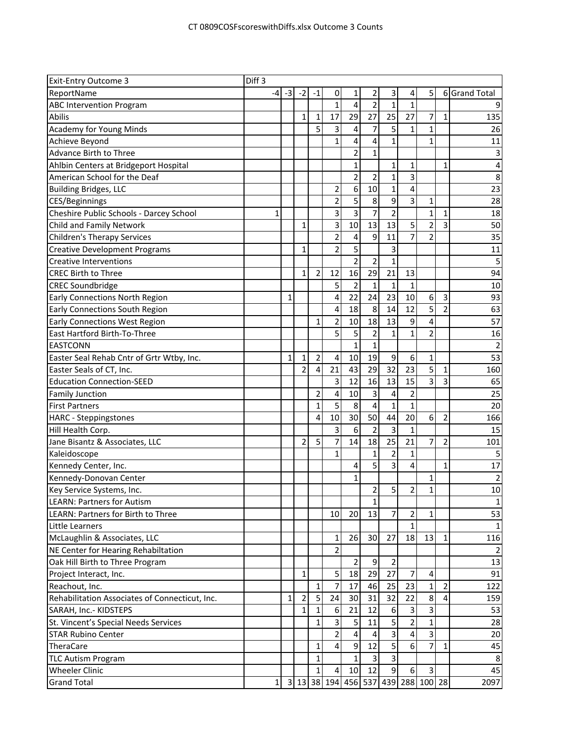| <b>Exit-Entry Outcome 3</b>                    | Diff <sub>3</sub> |                |                |                   |                |                         |                                  |                         |                     |                |                |                |
|------------------------------------------------|-------------------|----------------|----------------|-------------------|----------------|-------------------------|----------------------------------|-------------------------|---------------------|----------------|----------------|----------------|
| ReportName                                     | -4                | $-3$           | $-2$           | $-1$              | 0              | 1                       | 2                                | 3                       | 4                   | 5              |                | 6 Grand Total  |
| <b>ABC Intervention Program</b>                |                   |                |                |                   | $\overline{1}$ | 4                       | $\overline{c}$                   | $\mathbf{1}$            | $\mathbf{1}$        |                |                |                |
| Abilis                                         |                   |                | $\mathbf{1}$   | $\mathbf{1}$      | 17             | 29                      | 27                               | 25                      | 27                  | 7              | $\mathbf{1}$   | 135            |
| <b>Academy for Young Minds</b>                 |                   |                |                | 5                 | 3              | 4                       | 7                                | 5                       | $\mathbf{1}$        | $\mathbf{1}$   |                | 26             |
| Achieve Beyond                                 |                   |                |                |                   | $\mathbf{1}$   | 4                       | 4                                | 1                       |                     | $\mathbf{1}$   |                | 11             |
| <b>Advance Birth to Three</b>                  |                   |                |                |                   |                | $\overline{\mathbf{c}}$ | 1                                |                         |                     |                |                | 3              |
| Ahlbin Centers at Bridgeport Hospital          |                   |                |                |                   |                | $\mathbf{1}$            |                                  | 1                       | 1                   |                | 1              | 4              |
| American School for the Deaf                   |                   |                |                |                   |                | $\overline{c}$          | 2                                | $\mathbf{1}$            | 3                   |                |                | 8              |
| <b>Building Bridges, LLC</b>                   |                   |                |                |                   | 2              | 6                       | 10                               | $\mathbf{1}$            | 4                   |                |                | 23             |
| CES/Beginnings                                 |                   |                |                |                   | $\overline{c}$ | 5                       | 8                                | 9                       | 3                   | $\mathbf 1$    |                | 28             |
| Cheshire Public Schools - Darcey School        | 1                 |                |                |                   | 3              | $\overline{3}$          | $\overline{7}$                   | $\overline{2}$          |                     | $\mathbf{1}$   | 1              | 18             |
| Child and Family Network                       |                   |                | $\mathbf{1}$   |                   | 3              | 10                      | 13                               | 13                      | 5                   | $\overline{2}$ | 3              | 50             |
| <b>Children's Therapy Services</b>             |                   |                |                |                   | $\overline{2}$ | 4                       | 9                                | 11                      | $\overline{7}$      | $\overline{2}$ |                | 35             |
| <b>Creative Development Programs</b>           |                   |                | 1              |                   | 2              | 5                       |                                  | 3                       |                     |                |                | 11             |
| <b>Creative Interventions</b>                  |                   |                |                |                   |                | $\overline{2}$          | $\overline{2}$                   | 1                       |                     |                |                | 5              |
| <b>CREC Birth to Three</b>                     |                   |                | 1              | $\overline{2}$    | 12             | 16                      | 29                               | 21                      | 13                  |                |                | 94             |
| <b>CREC Soundbridge</b>                        |                   |                |                |                   | 5              | $\overline{2}$          | $\mathbf{1}$                     | $\mathbf 1$             | $\mathbf{1}$        |                |                | 10             |
| <b>Early Connections North Region</b>          |                   | $\mathbf{1}$   |                |                   | 4              | 22                      | 24                               | 23                      | 10                  | 6              | $\overline{3}$ | 93             |
| <b>Early Connections South Region</b>          |                   |                |                |                   | 4              | 18                      | 8                                | 14                      | 12                  | 5              | $\overline{2}$ | 63             |
| <b>Early Connections West Region</b>           |                   |                |                | $\mathbf{1}$      | $\overline{c}$ | 10                      | 18                               | 13                      | 9                   | 4              |                | 57             |
| East Hartford Birth-To-Three                   |                   |                |                |                   | 5              | 5                       | $\overline{\mathbf{c}}$          | 1                       | 1                   | 2              |                | 16             |
| <b>EASTCONN</b>                                |                   |                |                |                   |                | $\overline{1}$          | 1                                |                         |                     |                |                | $\overline{2}$ |
| Easter Seal Rehab Cntr of Grtr Wtby, Inc.      |                   | $\mathbf{1}$   | 1              | $\overline{2}$    | 4              | 10                      | 19                               | 9                       | 6                   | 1              |                | 53             |
| Easter Seals of CT, Inc.                       |                   |                | $\overline{2}$ | $\overline{4}$    | 21             | 43                      | 29                               | 32                      | 23                  | 5              | $\mathbf{1}$   | 160            |
| <b>Education Connection-SEED</b>               |                   |                |                |                   | 3              | 12                      | 16                               | 13                      | 15                  | 3              | 3              | 65             |
| <b>Family Junction</b>                         |                   |                |                | $\overline{2}$    | 4              | 10                      | 3                                | 4                       | $\overline{c}$      |                |                | 25             |
| <b>First Partners</b>                          |                   |                |                | $\mathbf{1}$      | 5              | 8                       | 4                                | $\mathbf{1}$            | $\mathbf{1}$        |                |                | 20             |
| <b>HARC</b> - Steppingstones                   |                   |                |                | $\overline{4}$    | 10             | 30                      | 50                               | 44                      | 20                  | 6              | $\overline{c}$ | 166            |
| Hill Health Corp.                              |                   |                |                |                   | 3              | 6                       | $\overline{2}$                   | 3                       |                     |                |                | 15             |
| Jane Bisantz & Associates, LLC                 |                   |                | 2              | 5                 | 7              | 14                      | 18                               | 25                      | 21                  | 7              | 2              | 101            |
| Kaleidoscope                                   |                   |                |                |                   | $\mathbf{1}$   |                         | $\mathbf{1}$                     | $\overline{2}$          | $\mathbf{1}$        |                |                | 5              |
| Kennedy Center, Inc.                           |                   |                |                |                   |                | 4                       | 5                                | $\overline{3}$          | 4                   |                | $\mathbf{1}$   | 17             |
| Kennedy-Donovan Center                         |                   |                |                |                   |                | $\mathbf 1$             |                                  |                         |                     | 1              |                | $\mathbf 2$    |
| Key Service Systems, Inc.                      |                   |                |                |                   |                |                         | $\overline{2}$                   | $\overline{5}$          | $\overline{2}$      | 1              |                | 10             |
| <b>LEARN: Partners for Autism</b>              |                   |                |                |                   |                |                         | $\mathbf 1$                      |                         |                     |                |                | $\mathbf{1}$   |
| <b>LEARN: Partners for Birth to Three</b>      |                   |                |                |                   | 10             | 20                      | 13                               | 7                       | 2                   | 1              |                | 53             |
| Little Learners                                |                   |                |                |                   |                |                         |                                  |                         | 1                   |                |                | $\mathbf{1}$   |
| McLaughlin & Associates, LLC                   |                   |                |                |                   | 1              | 26                      | 30                               | 27                      | 18                  | 13             | $\mathbf{1}$   | 116            |
| NE Center for Hearing Rehabiltation            |                   |                |                |                   | 2              |                         |                                  |                         |                     |                |                |                |
| Oak Hill Birth to Three Program                |                   |                |                |                   |                | $\overline{2}$          | 9                                | $\overline{2}$          |                     |                |                | 13             |
| Project Interact, Inc.                         |                   |                | $\mathbf{1}$   |                   | 5              | 18                      | 29                               | 27                      | 7                   | 4              |                | 91             |
| Reachout, Inc.                                 |                   |                |                | $\mathbf{1}$      | 7              | 17                      | 46                               | 25                      | 23                  | $\mathbf{1}$   | 2              | 122            |
| Rehabilitation Associates of Connecticut, Inc. |                   | 1              |                | 5                 | 24             | 30                      | 31                               | 32                      | 22                  | 8              | 4              | 159            |
|                                                |                   |                | 2              |                   |                |                         |                                  |                         |                     | 3              |                |                |
| SARAH, Inc.- KIDSTEPS                          |                   |                | 1              | 1<br>$\mathbf{1}$ | 6<br>3         | 21                      | 12<br>11                         | 6<br>5                  | 3<br>$\overline{2}$ | $\mathbf{1}$   |                | 53<br>28       |
| St. Vincent's Special Needs Services           |                   |                |                |                   |                | 5                       |                                  |                         |                     |                |                |                |
| <b>STAR Rubino Center</b>                      |                   |                |                |                   | 2              | 4                       | 4                                | $\overline{\mathbf{3}}$ | 4                   | 3              |                | 20             |
| TheraCare                                      |                   |                |                | $\mathbf{1}$      | 4              | $\boldsymbol{9}$        | 12                               | $\overline{5}$          | 6                   | $\overline{7}$ | $\mathbf{1}$   | 45             |
| <b>TLC Autism Program</b>                      |                   |                |                | $\mathbf{1}$      |                | $\mathbf{1}$            | $\overline{\mathbf{3}}$          | 3                       |                     |                |                | 8              |
| <b>Wheeler Clinic</b>                          |                   |                |                | $\mathbf{1}$      | 4              | 10                      | 12                               | 9                       | 6                   | 3              |                | 45             |
| <b>Grand Total</b>                             | 1                 | 3 <sup>l</sup> |                |                   |                |                         | 13 38 194 456 537 439 288 100 28 |                         |                     |                |                | 2097           |